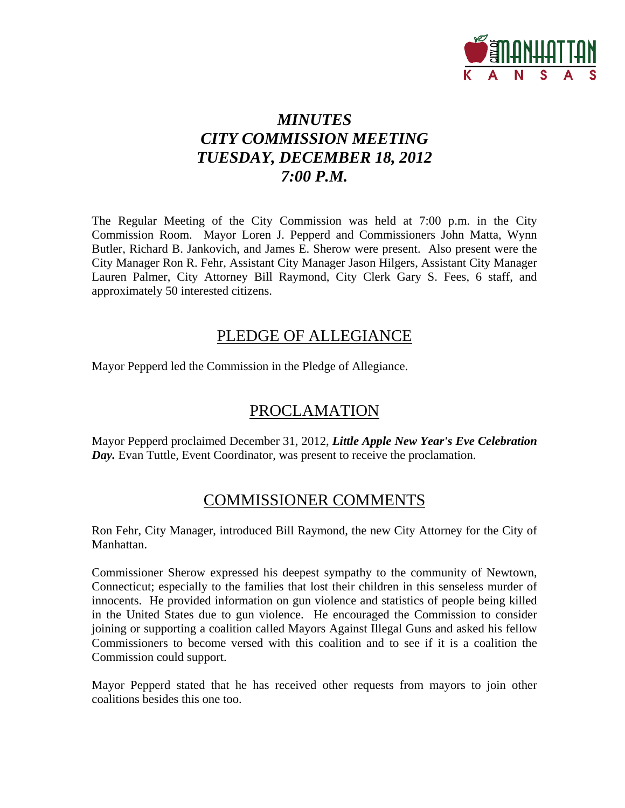

# *MINUTES CITY COMMISSION MEETING TUESDAY, DECEMBER 18, 2012 7:00 P.M.*

The Regular Meeting of the City Commission was held at 7:00 p.m. in the City Commission Room. Mayor Loren J. Pepperd and Commissioners John Matta, Wynn Butler, Richard B. Jankovich, and James E. Sherow were present. Also present were the City Manager Ron R. Fehr, Assistant City Manager Jason Hilgers, Assistant City Manager Lauren Palmer, City Attorney Bill Raymond, City Clerk Gary S. Fees, 6 staff, and approximately 50 interested citizens.

# PLEDGE OF ALLEGIANCE

Mayor Pepperd led the Commission in the Pledge of Allegiance.

# PROCLAMATION

Mayor Pepperd proclaimed December 31, 2012, *Little Apple New Year's Eve Celebration Day*. Evan Tuttle, Event Coordinator, was present to receive the proclamation.

# COMMISSIONER COMMENTS

Ron Fehr, City Manager, introduced Bill Raymond, the new City Attorney for the City of Manhattan.

Commissioner Sherow expressed his deepest sympathy to the community of Newtown, Connecticut; especially to the families that lost their children in this senseless murder of innocents. He provided information on gun violence and statistics of people being killed in the United States due to gun violence. He encouraged the Commission to consider joining or supporting a coalition called Mayors Against Illegal Guns and asked his fellow Commissioners to become versed with this coalition and to see if it is a coalition the Commission could support.

Mayor Pepperd stated that he has received other requests from mayors to join other coalitions besides this one too.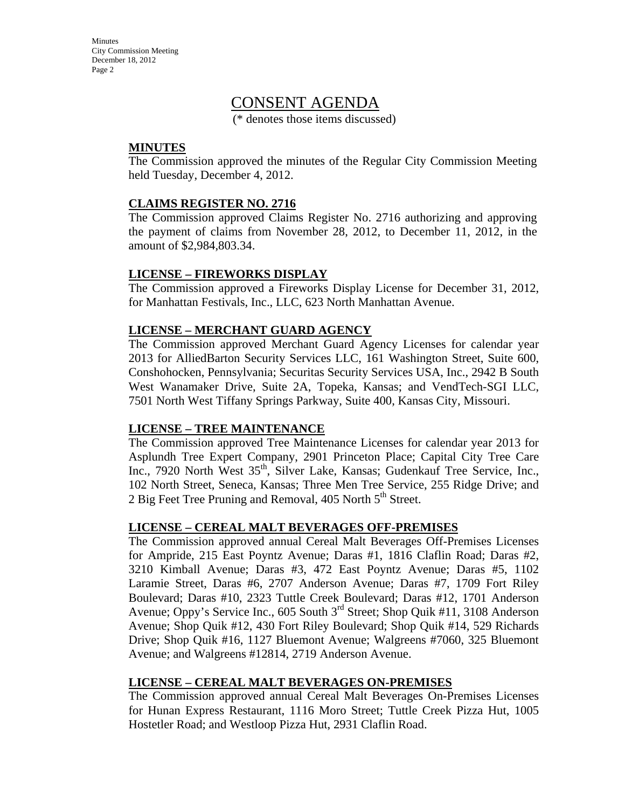Minutes City Commission Meeting December 18, 2012 Page 2

# CONSENT AGENDA

(\* denotes those items discussed)

#### **MINUTES**

The Commission approved the minutes of the Regular City Commission Meeting held Tuesday, December 4, 2012.

#### **CLAIMS REGISTER NO. 2716**

The Commission approved Claims Register No. 2716 authorizing and approving the payment of claims from November 28, 2012, to December 11, 2012, in the amount of \$2,984,803.34.

#### **LICENSE – FIREWORKS DISPLAY**

The Commission approved a Fireworks Display License for December 31, 2012, for Manhattan Festivals, Inc., LLC, 623 North Manhattan Avenue.

#### **LICENSE – MERCHANT GUARD AGENCY**

The Commission approved Merchant Guard Agency Licenses for calendar year 2013 for AlliedBarton Security Services LLC, 161 Washington Street, Suite 600, Conshohocken, Pennsylvania; Securitas Security Services USA, Inc., 2942 B South West Wanamaker Drive, Suite 2A, Topeka, Kansas; and VendTech-SGI LLC, 7501 North West Tiffany Springs Parkway, Suite 400, Kansas City, Missouri.

#### **LICENSE – TREE MAINTENANCE**

The Commission approved Tree Maintenance Licenses for calendar year 2013 for Asplundh Tree Expert Company, 2901 Princeton Place; Capital City Tree Care Inc., 7920 North West 35<sup>th</sup>, Silver Lake, Kansas; Gudenkauf Tree Service, Inc., 102 North Street, Seneca, Kansas; Three Men Tree Service, 255 Ridge Drive; and 2 Big Feet Tree Pruning and Removal,  $405$  North  $5<sup>th</sup>$  Street.

#### **LICENSE – CEREAL MALT BEVERAGES OFF-PREMISES**

The Commission approved annual Cereal Malt Beverages Off-Premises Licenses for Ampride, 215 East Poyntz Avenue; Daras #1, 1816 Claflin Road; Daras #2, 3210 Kimball Avenue; Daras #3, 472 East Poyntz Avenue; Daras #5, 1102 Laramie Street, Daras #6, 2707 Anderson Avenue; Daras #7, 1709 Fort Riley Boulevard; Daras #10, 2323 Tuttle Creek Boulevard; Daras #12, 1701 Anderson Avenue; Oppy's Service Inc., 605 South  $3<sup>rd</sup>$  Street; Shop Quik #11, 3108 Anderson Avenue; Shop Quik #12, 430 Fort Riley Boulevard; Shop Quik #14, 529 Richards Drive; Shop Quik #16, 1127 Bluemont Avenue; Walgreens #7060, 325 Bluemont Avenue; and Walgreens #12814, 2719 Anderson Avenue.

#### **LICENSE – CEREAL MALT BEVERAGES ON-PREMISES**

The Commission approved annual Cereal Malt Beverages On-Premises Licenses for Hunan Express Restaurant, 1116 Moro Street; Tuttle Creek Pizza Hut, 1005 Hostetler Road; and Westloop Pizza Hut, 2931 Claflin Road.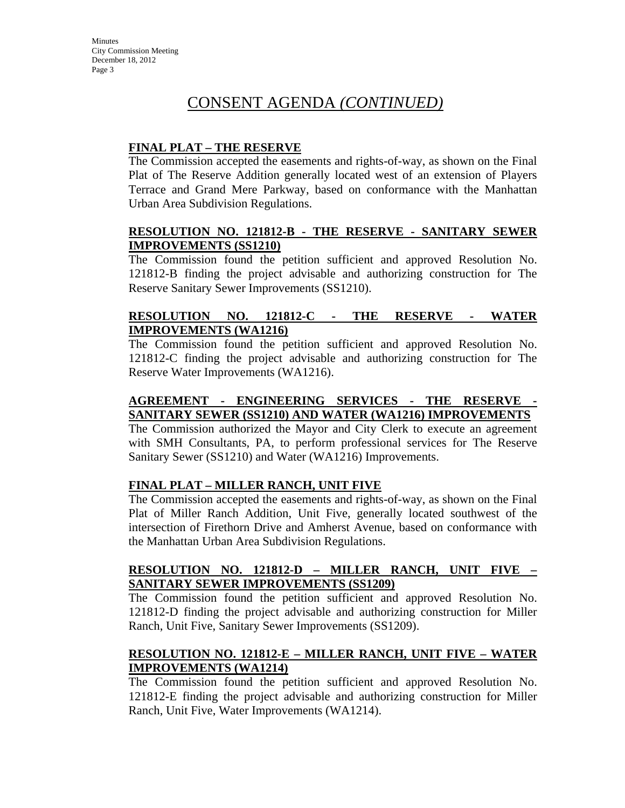#### **FINAL PLAT – THE RESERVE**

The Commission accepted the easements and rights-of-way, as shown on the Final Plat of The Reserve Addition generally located west of an extension of Players Terrace and Grand Mere Parkway, based on conformance with the Manhattan Urban Area Subdivision Regulations.

#### **RESOLUTION NO. 121812-B - THE RESERVE - SANITARY SEWER IMPROVEMENTS (SS1210)**

The Commission found the petition sufficient and approved Resolution No. 121812-B finding the project advisable and authorizing construction for The Reserve Sanitary Sewer Improvements (SS1210).

## **RESOLUTION NO. 121812-C - THE RESERVE - WATER IMPROVEMENTS (WA1216)**

The Commission found the petition sufficient and approved Resolution No. 121812-C finding the project advisable and authorizing construction for The Reserve Water Improvements (WA1216).

## **AGREEMENT - ENGINEERING SERVICES - THE RESERVE - SANITARY SEWER (SS1210) AND WATER (WA1216) IMPROVEMENTS**

The Commission authorized the Mayor and City Clerk to execute an agreement with SMH Consultants, PA, to perform professional services for The Reserve Sanitary Sewer (SS1210) and Water (WA1216) Improvements.

#### **FINAL PLAT – MILLER RANCH, UNIT FIVE**

The Commission accepted the easements and rights-of-way, as shown on the Final Plat of Miller Ranch Addition, Unit Five, generally located southwest of the intersection of Firethorn Drive and Amherst Avenue, based on conformance with the Manhattan Urban Area Subdivision Regulations.

## **RESOLUTION NO. 121812-D – MILLER RANCH, UNIT FIVE – SANITARY SEWER IMPROVEMENTS (SS1209)**

The Commission found the petition sufficient and approved Resolution No. 121812-D finding the project advisable and authorizing construction for Miller Ranch, Unit Five, Sanitary Sewer Improvements (SS1209).

## **RESOLUTION NO. 121812-E – MILLER RANCH, UNIT FIVE – WATER IMPROVEMENTS (WA1214)**

The Commission found the petition sufficient and approved Resolution No. 121812-E finding the project advisable and authorizing construction for Miller Ranch, Unit Five, Water Improvements (WA1214).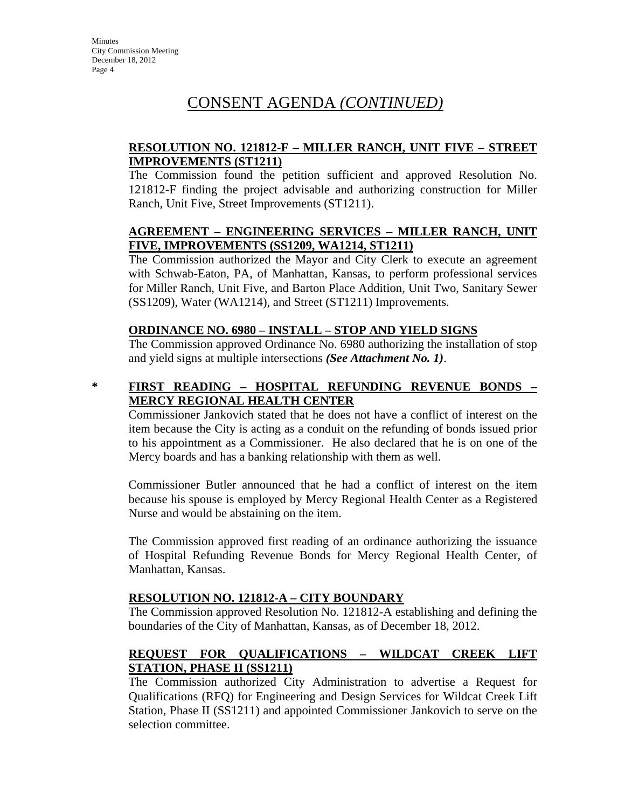### **RESOLUTION NO. 121812-F – MILLER RANCH, UNIT FIVE – STREET IMPROVEMENTS (ST1211)**

The Commission found the petition sufficient and approved Resolution No. 121812-F finding the project advisable and authorizing construction for Miller Ranch, Unit Five, Street Improvements (ST1211).

#### **AGREEMENT – ENGINEERING SERVICES – MILLER RANCH, UNIT FIVE, IMPROVEMENTS (SS1209, WA1214, ST1211)**

The Commission authorized the Mayor and City Clerk to execute an agreement with Schwab-Eaton, PA, of Manhattan, Kansas, to perform professional services for Miller Ranch, Unit Five, and Barton Place Addition, Unit Two, Sanitary Sewer (SS1209), Water (WA1214), and Street (ST1211) Improvements.

#### **ORDINANCE NO. 6980 – INSTALL – STOP AND YIELD SIGNS**

The Commission approved Ordinance No. 6980 authorizing the installation of stop and yield signs at multiple intersections *(See Attachment No. 1)*.

## **\* FIRST READING – HOSPITAL REFUNDING REVENUE BONDS – MERCY REGIONAL HEALTH CENTER**

Commissioner Jankovich stated that he does not have a conflict of interest on the item because the City is acting as a conduit on the refunding of bonds issued prior to his appointment as a Commissioner. He also declared that he is on one of the Mercy boards and has a banking relationship with them as well.

Commissioner Butler announced that he had a conflict of interest on the item because his spouse is employed by Mercy Regional Health Center as a Registered Nurse and would be abstaining on the item.

The Commission approved first reading of an ordinance authorizing the issuance of Hospital Refunding Revenue Bonds for Mercy Regional Health Center, of Manhattan, Kansas.

#### **RESOLUTION NO. 121812-A – CITY BOUNDARY**

The Commission approved Resolution No. 121812-A establishing and defining the boundaries of the City of Manhattan, Kansas, as of December 18, 2012.

## **REQUEST FOR QUALIFICATIONS – WILDCAT CREEK LIFT STATION, PHASE II (SS1211)**

The Commission authorized City Administration to advertise a Request for Qualifications (RFQ) for Engineering and Design Services for Wildcat Creek Lift Station, Phase II (SS1211) and appointed Commissioner Jankovich to serve on the selection committee.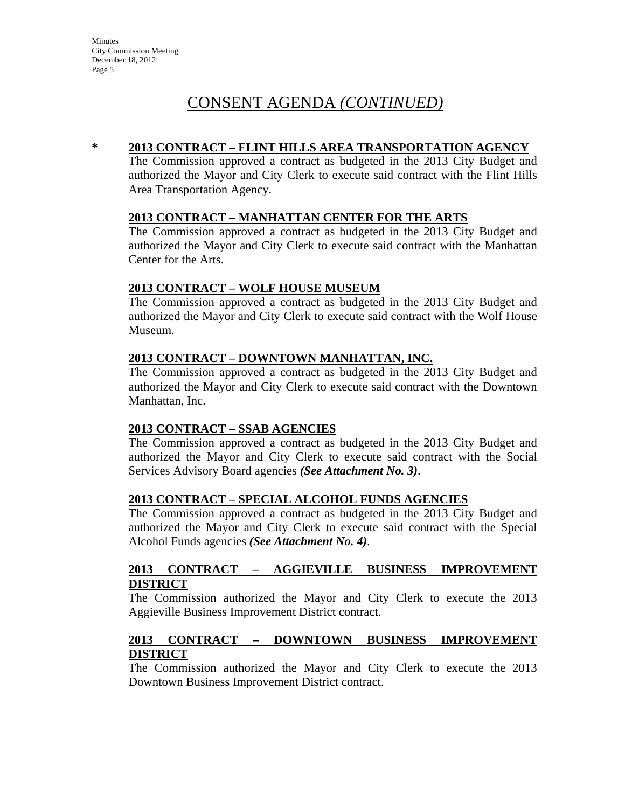#### **\* 2013 CONTRACT – FLINT HILLS AREA TRANSPORTATION AGENCY**

The Commission approved a contract as budgeted in the 2013 City Budget and authorized the Mayor and City Clerk to execute said contract with the Flint Hills Area Transportation Agency.

#### **2013 CONTRACT – MANHATTAN CENTER FOR THE ARTS**

The Commission approved a contract as budgeted in the 2013 City Budget and authorized the Mayor and City Clerk to execute said contract with the Manhattan Center for the Arts.

#### **2013 CONTRACT – WOLF HOUSE MUSEUM**

The Commission approved a contract as budgeted in the 2013 City Budget and authorized the Mayor and City Clerk to execute said contract with the Wolf House Museum.

#### **2013 CONTRACT – DOWNTOWN MANHATTAN, INC.**

The Commission approved a contract as budgeted in the 2013 City Budget and authorized the Mayor and City Clerk to execute said contract with the Downtown Manhattan, Inc.

#### **2013 CONTRACT – SSAB AGENCIES**

The Commission approved a contract as budgeted in the 2013 City Budget and authorized the Mayor and City Clerk to execute said contract with the Social Services Advisory Board agencies *(See Attachment No. 3)*.

#### **2013 CONTRACT – SPECIAL ALCOHOL FUNDS AGENCIES**

The Commission approved a contract as budgeted in the 2013 City Budget and authorized the Mayor and City Clerk to execute said contract with the Special Alcohol Funds agencies *(See Attachment No. 4)*.

#### **2013 CONTRACT – AGGIEVILLE BUSINESS IMPROVEMENT DISTRICT**

The Commission authorized the Mayor and City Clerk to execute the 2013 Aggieville Business Improvement District contract.

#### **2013 CONTRACT – DOWNTOWN BUSINESS IMPROVEMENT DISTRICT**

The Commission authorized the Mayor and City Clerk to execute the 2013 Downtown Business Improvement District contract.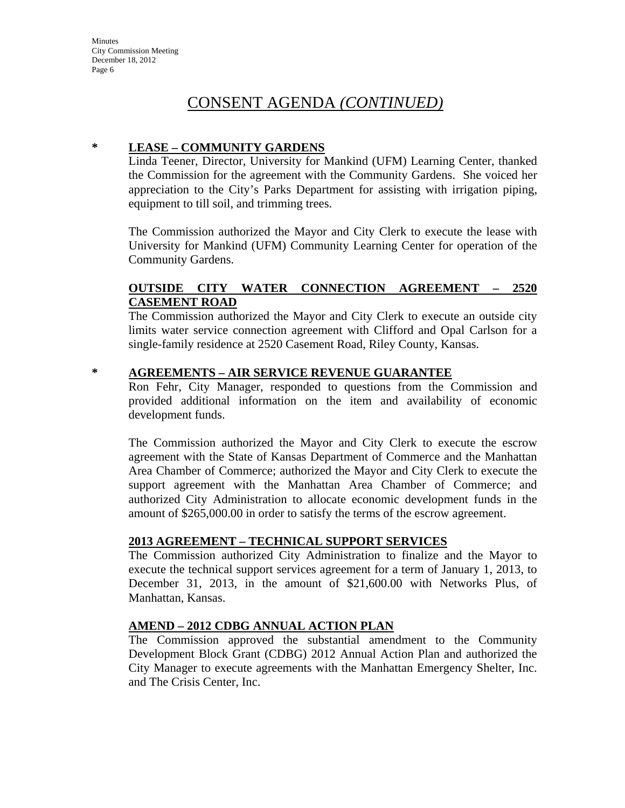#### **\* LEASE – COMMUNITY GARDENS**

Linda Teener, Director, University for Mankind (UFM) Learning Center, thanked the Commission for the agreement with the Community Gardens. She voiced her appreciation to the City's Parks Department for assisting with irrigation piping, equipment to till soil, and trimming trees.

The Commission authorized the Mayor and City Clerk to execute the lease with University for Mankind (UFM) Community Learning Center for operation of the Community Gardens.

#### **OUTSIDE CITY WATER CONNECTION AGREEMENT – 2520 CASEMENT ROAD**

The Commission authorized the Mayor and City Clerk to execute an outside city limits water service connection agreement with Clifford and Opal Carlson for a single-family residence at 2520 Casement Road, Riley County, Kansas.

#### **\* AGREEMENTS – AIR SERVICE REVENUE GUARANTEE**

Ron Fehr, City Manager, responded to questions from the Commission and provided additional information on the item and availability of economic development funds.

The Commission authorized the Mayor and City Clerk to execute the escrow agreement with the State of Kansas Department of Commerce and the Manhattan Area Chamber of Commerce; authorized the Mayor and City Clerk to execute the support agreement with the Manhattan Area Chamber of Commerce; and authorized City Administration to allocate economic development funds in the amount of \$265,000.00 in order to satisfy the terms of the escrow agreement.

#### **2013 AGREEMENT – TECHNICAL SUPPORT SERVICES**

The Commission authorized City Administration to finalize and the Mayor to execute the technical support services agreement for a term of January 1, 2013, to December 31, 2013, in the amount of \$21,600.00 with Networks Plus, of Manhattan, Kansas.

#### **AMEND – 2012 CDBG ANNUAL ACTION PLAN**

The Commission approved the substantial amendment to the Community Development Block Grant (CDBG) 2012 Annual Action Plan and authorized the City Manager to execute agreements with the Manhattan Emergency Shelter, Inc. and The Crisis Center, Inc.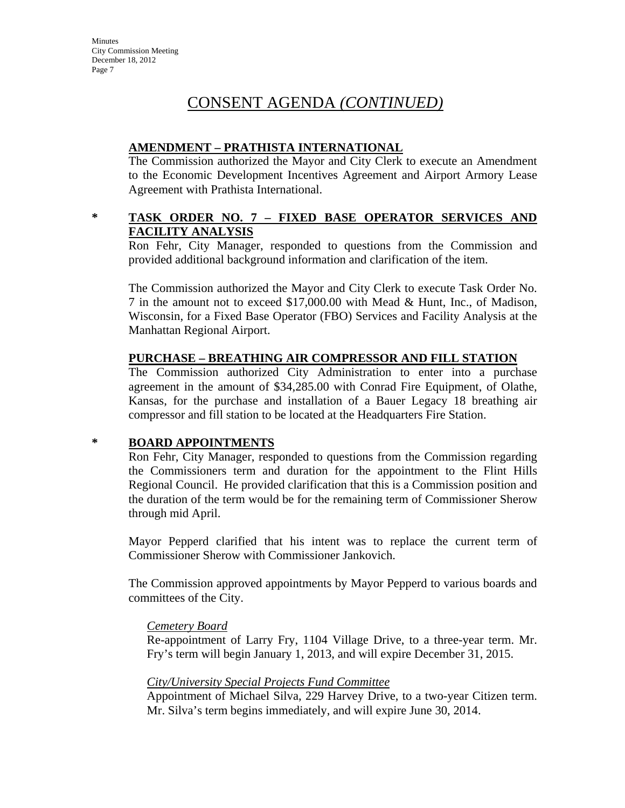## **AMENDMENT – PRATHISTA INTERNATIONAL**

The Commission authorized the Mayor and City Clerk to execute an Amendment to the Economic Development Incentives Agreement and Airport Armory Lease Agreement with Prathista International.

#### **\* TASK ORDER NO. 7 – FIXED BASE OPERATOR SERVICES AND FACILITY ANALYSIS**

Ron Fehr, City Manager, responded to questions from the Commission and provided additional background information and clarification of the item.

The Commission authorized the Mayor and City Clerk to execute Task Order No. 7 in the amount not to exceed \$17,000.00 with Mead & Hunt, Inc., of Madison, Wisconsin, for a Fixed Base Operator (FBO) Services and Facility Analysis at the Manhattan Regional Airport.

#### **PURCHASE – BREATHING AIR COMPRESSOR AND FILL STATION**

The Commission authorized City Administration to enter into a purchase agreement in the amount of \$34,285.00 with Conrad Fire Equipment, of Olathe, Kansas, for the purchase and installation of a Bauer Legacy 18 breathing air compressor and fill station to be located at the Headquarters Fire Station.

#### **\* BOARD APPOINTMENTS**

Ron Fehr, City Manager, responded to questions from the Commission regarding the Commissioners term and duration for the appointment to the Flint Hills Regional Council. He provided clarification that this is a Commission position and the duration of the term would be for the remaining term of Commissioner Sherow through mid April.

Mayor Pepperd clarified that his intent was to replace the current term of Commissioner Sherow with Commissioner Jankovich.

The Commission approved appointments by Mayor Pepperd to various boards and committees of the City.

#### *Cemetery Board*

Re-appointment of Larry Fry, 1104 Village Drive, to a three-year term. Mr. Fry's term will begin January 1, 2013, and will expire December 31, 2015.

#### *City/University Special Projects Fund Committee*

Appointment of Michael Silva, 229 Harvey Drive, to a two-year Citizen term. Mr. Silva's term begins immediately, and will expire June 30, 2014.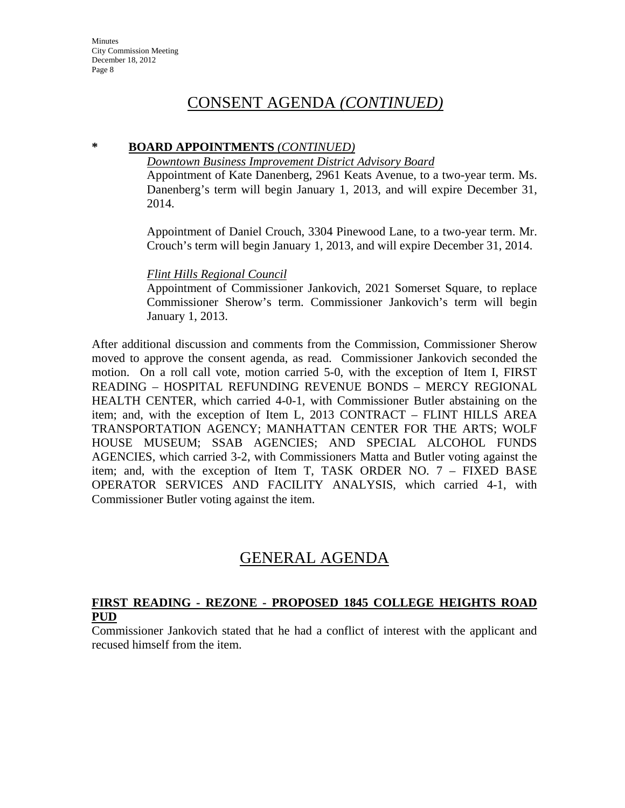#### **\* BOARD APPOINTMENTS** *(CONTINUED)*

*Downtown Business Improvement District Advisory Board*

Appointment of Kate Danenberg, 2961 Keats Avenue, to a two-year term. Ms. Danenberg's term will begin January 1, 2013, and will expire December 31, 2014.

Appointment of Daniel Crouch, 3304 Pinewood Lane, to a two-year term. Mr. Crouch's term will begin January 1, 2013, and will expire December 31, 2014.

#### *Flint Hills Regional Council*

Appointment of Commissioner Jankovich, 2021 Somerset Square, to replace Commissioner Sherow's term. Commissioner Jankovich's term will begin January 1, 2013.

After additional discussion and comments from the Commission, Commissioner Sherow moved to approve the consent agenda, as read. Commissioner Jankovich seconded the motion. On a roll call vote, motion carried 5-0, with the exception of Item I, FIRST READING – HOSPITAL REFUNDING REVENUE BONDS – MERCY REGIONAL HEALTH CENTER, which carried 4-0-1, with Commissioner Butler abstaining on the item; and, with the exception of Item L, 2013 CONTRACT – FLINT HILLS AREA TRANSPORTATION AGENCY; MANHATTAN CENTER FOR THE ARTS; WOLF HOUSE MUSEUM; SSAB AGENCIES; AND SPECIAL ALCOHOL FUNDS AGENCIES, which carried 3-2, with Commissioners Matta and Butler voting against the item; and, with the exception of Item T, TASK ORDER NO. 7 – FIXED BASE OPERATOR SERVICES AND FACILITY ANALYSIS, which carried 4-1, with Commissioner Butler voting against the item.

# GENERAL AGENDA

#### **FIRST READING - REZONE - PROPOSED 1845 COLLEGE HEIGHTS ROAD PUD**

Commissioner Jankovich stated that he had a conflict of interest with the applicant and recused himself from the item.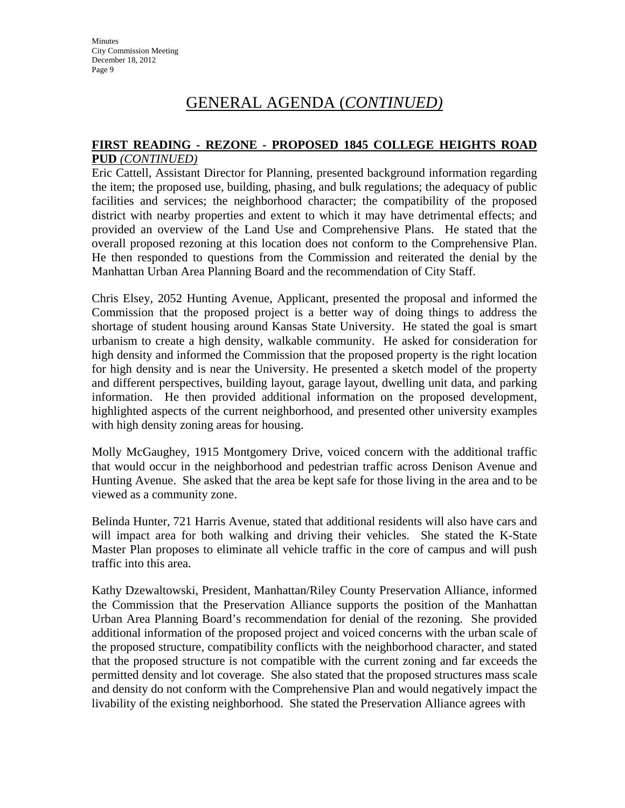#### **FIRST READING - REZONE - PROPOSED 1845 COLLEGE HEIGHTS ROAD PUD** *(CONTINUED)*

Eric Cattell, Assistant Director for Planning, presented background information regarding the item; the proposed use, building, phasing, and bulk regulations; the adequacy of public facilities and services; the neighborhood character; the compatibility of the proposed district with nearby properties and extent to which it may have detrimental effects; and provided an overview of the Land Use and Comprehensive Plans. He stated that the overall proposed rezoning at this location does not conform to the Comprehensive Plan. He then responded to questions from the Commission and reiterated the denial by the Manhattan Urban Area Planning Board and the recommendation of City Staff.

Chris Elsey, 2052 Hunting Avenue, Applicant, presented the proposal and informed the Commission that the proposed project is a better way of doing things to address the shortage of student housing around Kansas State University. He stated the goal is smart urbanism to create a high density, walkable community. He asked for consideration for high density and informed the Commission that the proposed property is the right location for high density and is near the University. He presented a sketch model of the property and different perspectives, building layout, garage layout, dwelling unit data, and parking information. He then provided additional information on the proposed development, highlighted aspects of the current neighborhood, and presented other university examples with high density zoning areas for housing.

Molly McGaughey, 1915 Montgomery Drive, voiced concern with the additional traffic that would occur in the neighborhood and pedestrian traffic across Denison Avenue and Hunting Avenue. She asked that the area be kept safe for those living in the area and to be viewed as a community zone.

Belinda Hunter, 721 Harris Avenue, stated that additional residents will also have cars and will impact area for both walking and driving their vehicles. She stated the K-State Master Plan proposes to eliminate all vehicle traffic in the core of campus and will push traffic into this area.

Kathy Dzewaltowski, President, Manhattan/Riley County Preservation Alliance, informed the Commission that the Preservation Alliance supports the position of the Manhattan Urban Area Planning Board's recommendation for denial of the rezoning. She provided additional information of the proposed project and voiced concerns with the urban scale of the proposed structure, compatibility conflicts with the neighborhood character, and stated that the proposed structure is not compatible with the current zoning and far exceeds the permitted density and lot coverage. She also stated that the proposed structures mass scale and density do not conform with the Comprehensive Plan and would negatively impact the livability of the existing neighborhood. She stated the Preservation Alliance agrees with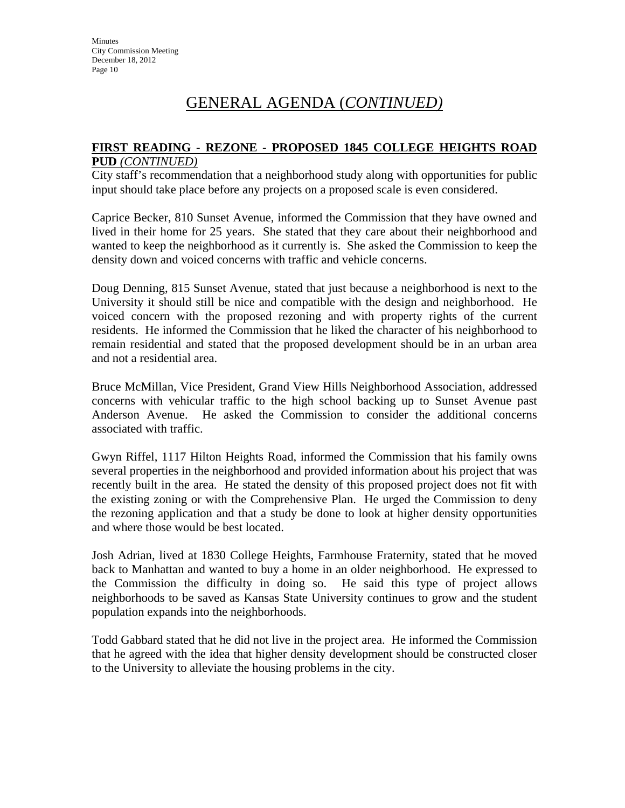#### **FIRST READING - REZONE - PROPOSED 1845 COLLEGE HEIGHTS ROAD PUD** *(CONTINUED)*

City staff's recommendation that a neighborhood study along with opportunities for public input should take place before any projects on a proposed scale is even considered.

Caprice Becker, 810 Sunset Avenue, informed the Commission that they have owned and lived in their home for 25 years. She stated that they care about their neighborhood and wanted to keep the neighborhood as it currently is. She asked the Commission to keep the density down and voiced concerns with traffic and vehicle concerns.

Doug Denning, 815 Sunset Avenue, stated that just because a neighborhood is next to the University it should still be nice and compatible with the design and neighborhood. He voiced concern with the proposed rezoning and with property rights of the current residents. He informed the Commission that he liked the character of his neighborhood to remain residential and stated that the proposed development should be in an urban area and not a residential area.

Bruce McMillan, Vice President, Grand View Hills Neighborhood Association, addressed concerns with vehicular traffic to the high school backing up to Sunset Avenue past Anderson Avenue. He asked the Commission to consider the additional concerns associated with traffic.

Gwyn Riffel, 1117 Hilton Heights Road, informed the Commission that his family owns several properties in the neighborhood and provided information about his project that was recently built in the area. He stated the density of this proposed project does not fit with the existing zoning or with the Comprehensive Plan. He urged the Commission to deny the rezoning application and that a study be done to look at higher density opportunities and where those would be best located.

Josh Adrian, lived at 1830 College Heights, Farmhouse Fraternity, stated that he moved back to Manhattan and wanted to buy a home in an older neighborhood. He expressed to the Commission the difficulty in doing so. He said this type of project allows neighborhoods to be saved as Kansas State University continues to grow and the student population expands into the neighborhoods.

Todd Gabbard stated that he did not live in the project area. He informed the Commission that he agreed with the idea that higher density development should be constructed closer to the University to alleviate the housing problems in the city.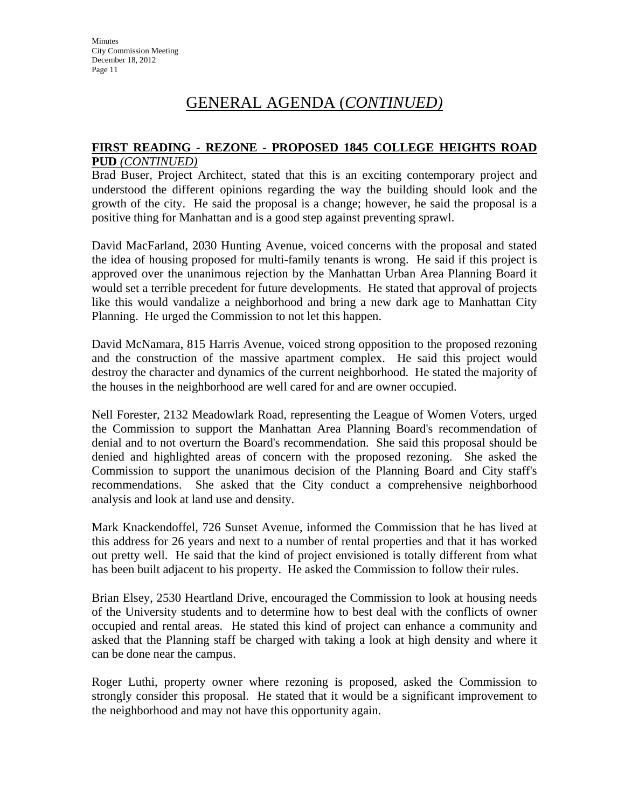#### **FIRST READING - REZONE - PROPOSED 1845 COLLEGE HEIGHTS ROAD PUD** *(CONTINUED)*

Brad Buser, Project Architect, stated that this is an exciting contemporary project and understood the different opinions regarding the way the building should look and the growth of the city. He said the proposal is a change; however, he said the proposal is a positive thing for Manhattan and is a good step against preventing sprawl.

David MacFarland, 2030 Hunting Avenue, voiced concerns with the proposal and stated the idea of housing proposed for multi-family tenants is wrong. He said if this project is approved over the unanimous rejection by the Manhattan Urban Area Planning Board it would set a terrible precedent for future developments. He stated that approval of projects like this would vandalize a neighborhood and bring a new dark age to Manhattan City Planning. He urged the Commission to not let this happen.

David McNamara, 815 Harris Avenue, voiced strong opposition to the proposed rezoning and the construction of the massive apartment complex. He said this project would destroy the character and dynamics of the current neighborhood. He stated the majority of the houses in the neighborhood are well cared for and are owner occupied.

Nell Forester, 2132 Meadowlark Road, representing the League of Women Voters, urged the Commission to support the Manhattan Area Planning Board's recommendation of denial and to not overturn the Board's recommendation. She said this proposal should be denied and highlighted areas of concern with the proposed rezoning. She asked the Commission to support the unanimous decision of the Planning Board and City staff's recommendations. She asked that the City conduct a comprehensive neighborhood analysis and look at land use and density.

Mark Knackendoffel, 726 Sunset Avenue, informed the Commission that he has lived at this address for 26 years and next to a number of rental properties and that it has worked out pretty well. He said that the kind of project envisioned is totally different from what has been built adjacent to his property. He asked the Commission to follow their rules.

Brian Elsey, 2530 Heartland Drive, encouraged the Commission to look at housing needs of the University students and to determine how to best deal with the conflicts of owner occupied and rental areas. He stated this kind of project can enhance a community and asked that the Planning staff be charged with taking a look at high density and where it can be done near the campus.

Roger Luthi, property owner where rezoning is proposed, asked the Commission to strongly consider this proposal. He stated that it would be a significant improvement to the neighborhood and may not have this opportunity again.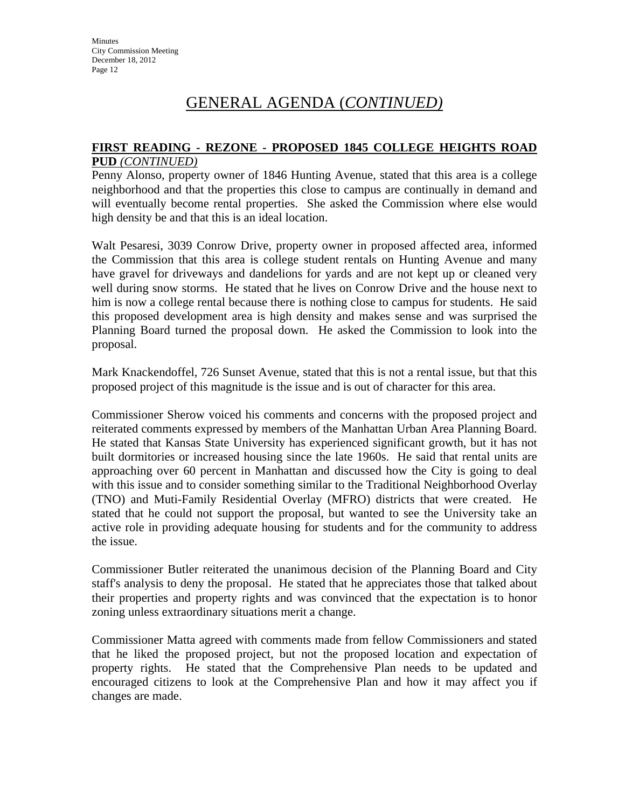#### **FIRST READING - REZONE - PROPOSED 1845 COLLEGE HEIGHTS ROAD PUD** *(CONTINUED)*

Penny Alonso, property owner of 1846 Hunting Avenue, stated that this area is a college neighborhood and that the properties this close to campus are continually in demand and will eventually become rental properties. She asked the Commission where else would high density be and that this is an ideal location.

Walt Pesaresi, 3039 Conrow Drive, property owner in proposed affected area, informed the Commission that this area is college student rentals on Hunting Avenue and many have gravel for driveways and dandelions for yards and are not kept up or cleaned very well during snow storms. He stated that he lives on Conrow Drive and the house next to him is now a college rental because there is nothing close to campus for students. He said this proposed development area is high density and makes sense and was surprised the Planning Board turned the proposal down. He asked the Commission to look into the proposal.

Mark Knackendoffel, 726 Sunset Avenue, stated that this is not a rental issue, but that this proposed project of this magnitude is the issue and is out of character for this area.

Commissioner Sherow voiced his comments and concerns with the proposed project and reiterated comments expressed by members of the Manhattan Urban Area Planning Board. He stated that Kansas State University has experienced significant growth, but it has not built dormitories or increased housing since the late 1960s. He said that rental units are approaching over 60 percent in Manhattan and discussed how the City is going to deal with this issue and to consider something similar to the Traditional Neighborhood Overlay (TNO) and Muti-Family Residential Overlay (MFRO) districts that were created. He stated that he could not support the proposal, but wanted to see the University take an active role in providing adequate housing for students and for the community to address the issue.

Commissioner Butler reiterated the unanimous decision of the Planning Board and City staff's analysis to deny the proposal. He stated that he appreciates those that talked about their properties and property rights and was convinced that the expectation is to honor zoning unless extraordinary situations merit a change.

Commissioner Matta agreed with comments made from fellow Commissioners and stated that he liked the proposed project, but not the proposed location and expectation of property rights. He stated that the Comprehensive Plan needs to be updated and encouraged citizens to look at the Comprehensive Plan and how it may affect you if changes are made.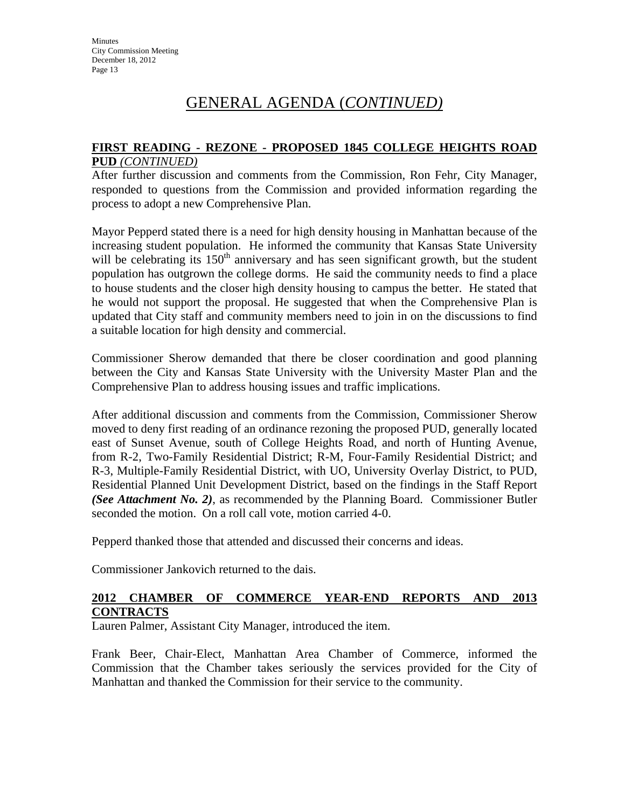#### **FIRST READING - REZONE - PROPOSED 1845 COLLEGE HEIGHTS ROAD PUD** *(CONTINUED)*

After further discussion and comments from the Commission, Ron Fehr, City Manager, responded to questions from the Commission and provided information regarding the process to adopt a new Comprehensive Plan.

Mayor Pepperd stated there is a need for high density housing in Manhattan because of the increasing student population. He informed the community that Kansas State University will be celebrating its  $150<sup>th</sup>$  anniversary and has seen significant growth, but the student population has outgrown the college dorms. He said the community needs to find a place to house students and the closer high density housing to campus the better. He stated that he would not support the proposal. He suggested that when the Comprehensive Plan is updated that City staff and community members need to join in on the discussions to find a suitable location for high density and commercial.

Commissioner Sherow demanded that there be closer coordination and good planning between the City and Kansas State University with the University Master Plan and the Comprehensive Plan to address housing issues and traffic implications.

After additional discussion and comments from the Commission, Commissioner Sherow moved to deny first reading of an ordinance rezoning the proposed PUD, generally located east of Sunset Avenue, south of College Heights Road, and north of Hunting Avenue, from R-2, Two-Family Residential District; R-M, Four-Family Residential District; and R-3, Multiple-Family Residential District, with UO, University Overlay District, to PUD, Residential Planned Unit Development District, based on the findings in the Staff Report *(See Attachment No. 2)*, as recommended by the Planning Board. Commissioner Butler seconded the motion. On a roll call vote, motion carried 4-0.

Pepperd thanked those that attended and discussed their concerns and ideas.

Commissioner Jankovich returned to the dais.

#### **2012 CHAMBER OF COMMERCE YEAR-END REPORTS AND 2013 CONTRACTS**

Lauren Palmer, Assistant City Manager, introduced the item.

Frank Beer, Chair-Elect, Manhattan Area Chamber of Commerce, informed the Commission that the Chamber takes seriously the services provided for the City of Manhattan and thanked the Commission for their service to the community.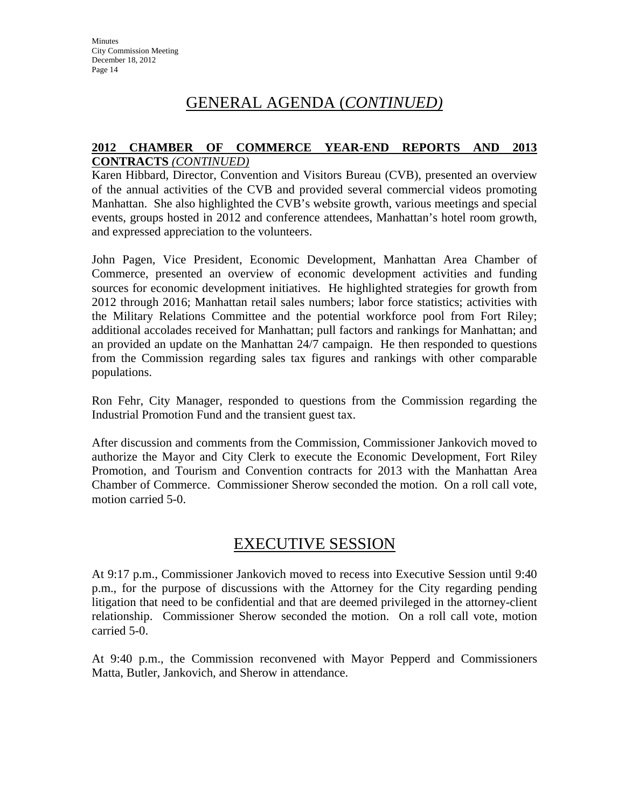#### **2012 CHAMBER OF COMMERCE YEAR-END REPORTS AND 2013 CONTRACTS** *(CONTINUED)*

Karen Hibbard, Director, Convention and Visitors Bureau (CVB), presented an overview of the annual activities of the CVB and provided several commercial videos promoting Manhattan. She also highlighted the CVB's website growth, various meetings and special events, groups hosted in 2012 and conference attendees, Manhattan's hotel room growth, and expressed appreciation to the volunteers.

John Pagen, Vice President, Economic Development, Manhattan Area Chamber of Commerce, presented an overview of economic development activities and funding sources for economic development initiatives. He highlighted strategies for growth from 2012 through 2016; Manhattan retail sales numbers; labor force statistics; activities with the Military Relations Committee and the potential workforce pool from Fort Riley; additional accolades received for Manhattan; pull factors and rankings for Manhattan; and an provided an update on the Manhattan 24/7 campaign. He then responded to questions from the Commission regarding sales tax figures and rankings with other comparable populations.

Ron Fehr, City Manager, responded to questions from the Commission regarding the Industrial Promotion Fund and the transient guest tax.

After discussion and comments from the Commission, Commissioner Jankovich moved to authorize the Mayor and City Clerk to execute the Economic Development, Fort Riley Promotion, and Tourism and Convention contracts for 2013 with the Manhattan Area Chamber of Commerce. Commissioner Sherow seconded the motion. On a roll call vote, motion carried 5-0.

# EXECUTIVE SESSION

At 9:17 p.m., Commissioner Jankovich moved to recess into Executive Session until 9:40 p.m., for the purpose of discussions with the Attorney for the City regarding pending litigation that need to be confidential and that are deemed privileged in the attorney-client relationship. Commissioner Sherow seconded the motion. On a roll call vote, motion carried 5-0.

At 9:40 p.m., the Commission reconvened with Mayor Pepperd and Commissioners Matta, Butler, Jankovich, and Sherow in attendance.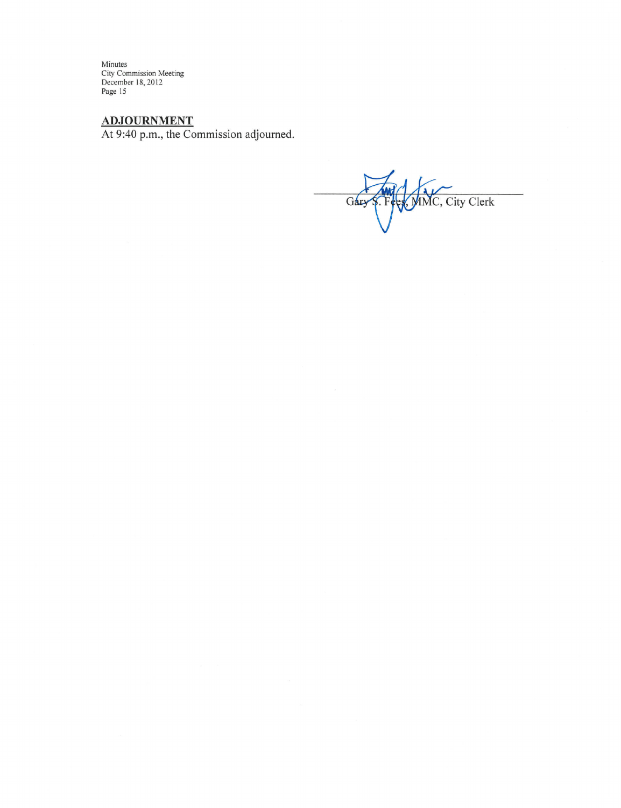Minutes<br>City Commission Meeting<br>December 18, 2012<br>Page 15

 $ADJOURNMENT$ <br>At 9:40 p.m., the Commission adjourned.

S. Fees, MMC, City Clerk Gary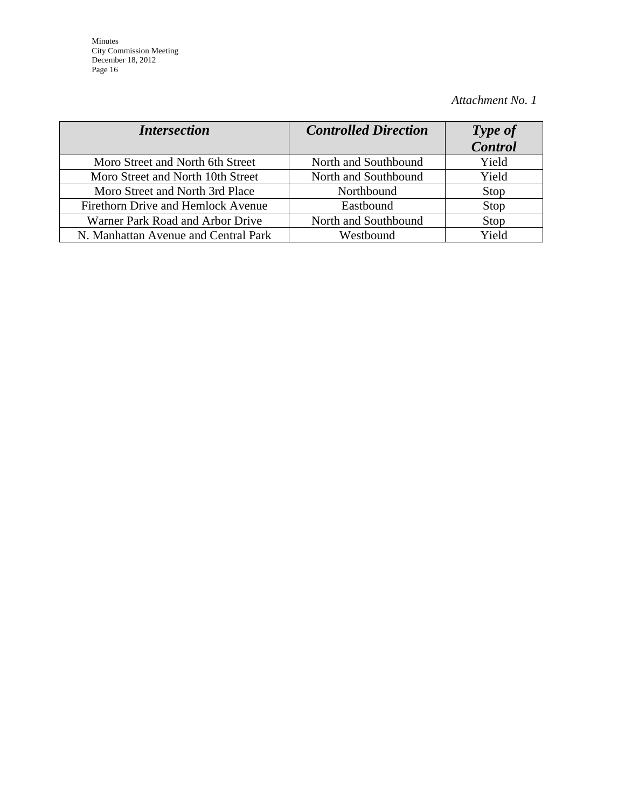Minutes City Commission Meeting December 18, 2012 Page 16

## *Attachment No. 1*

| <i>Intersection</i>                  | <b>Controlled Direction</b> | Type of<br><b>Control</b> |
|--------------------------------------|-----------------------------|---------------------------|
| Moro Street and North 6th Street     | North and Southbound        | Yield                     |
| Moro Street and North 10th Street    | North and Southbound        | Yield                     |
| Moro Street and North 3rd Place      | Northbound                  | Stop                      |
| Firethorn Drive and Hemlock Avenue   | Eastbound                   | Stop                      |
| Warner Park Road and Arbor Drive     | North and Southbound        | Stop                      |
| N. Manhattan Avenue and Central Park | Westbound                   | Yield                     |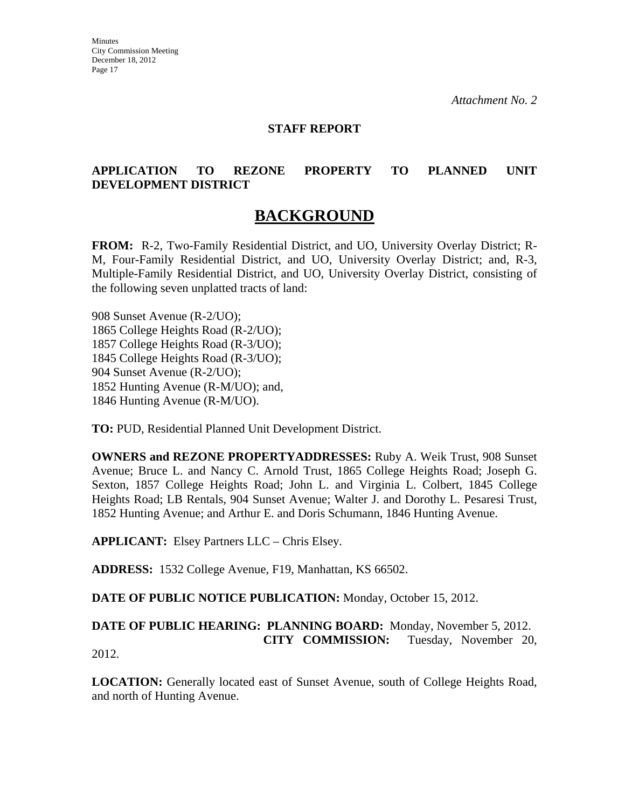#### **STAFF REPORT**

#### **APPLICATION TO REZONE PROPERTY TO PLANNED UNIT DEVELOPMENT DISTRICT**

# **BACKGROUND**

**FROM:** R-2, Two-Family Residential District, and UO, University Overlay District; R-M, Four-Family Residential District, and UO, University Overlay District; and, R-3, Multiple-Family Residential District, and UO, University Overlay District, consisting of the following seven unplatted tracts of land:

908 Sunset Avenue (R-2/UO); 1865 College Heights Road (R-2/UO); 1857 College Heights Road (R-3/UO); 1845 College Heights Road (R-3/UO); 904 Sunset Avenue (R-2/UO); 1852 Hunting Avenue (R-M/UO); and, 1846 Hunting Avenue (R-M/UO).

**TO:** PUD, Residential Planned Unit Development District.

**OWNERS and REZONE PROPERTYADDRESSES:** Ruby A. Weik Trust, 908 Sunset Avenue; Bruce L. and Nancy C. Arnold Trust, 1865 College Heights Road; Joseph G. Sexton, 1857 College Heights Road; John L. and Virginia L. Colbert, 1845 College Heights Road; LB Rentals, 904 Sunset Avenue; Walter J. and Dorothy L. Pesaresi Trust, 1852 Hunting Avenue; and Arthur E. and Doris Schumann, 1846 Hunting Avenue.

**APPLICANT:** Elsey Partners LLC – Chris Elsey.

**ADDRESS:** 1532 College Avenue, F19, Manhattan, KS 66502.

**DATE OF PUBLIC NOTICE PUBLICATION:** Monday, October 15, 2012.

**DATE OF PUBLIC HEARING: PLANNING BOARD:** Monday, November 5, 2012. **CITY COMMISSION:** Tuesday, November 20, 2012.

**LOCATION:** Generally located east of Sunset Avenue, south of College Heights Road, and north of Hunting Avenue.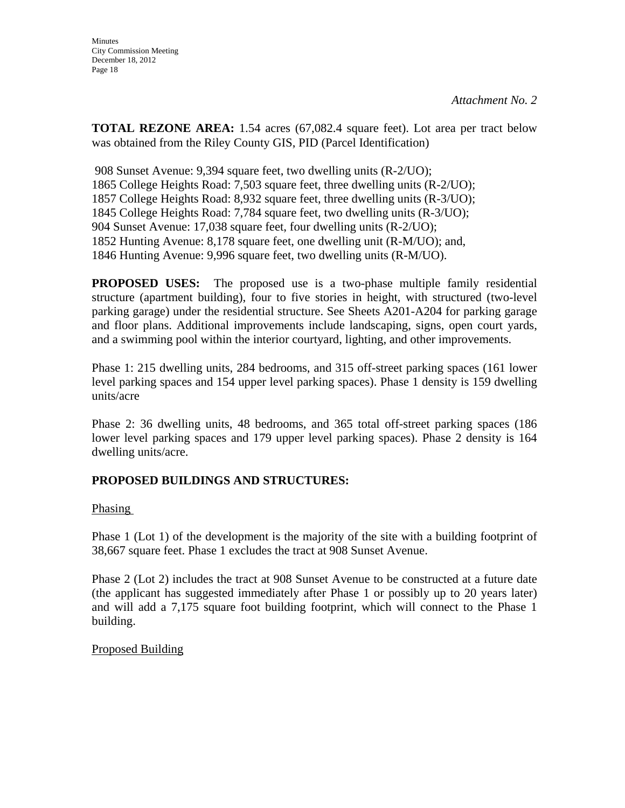**TOTAL REZONE AREA:** 1.54 acres (67,082.4 square feet). Lot area per tract below was obtained from the Riley County GIS, PID (Parcel Identification)

908 Sunset Avenue: 9,394 square feet, two dwelling units (R-2/UO); 1865 College Heights Road: 7,503 square feet, three dwelling units (R-2/UO); 1857 College Heights Road: 8,932 square feet, three dwelling units (R-3/UO); 1845 College Heights Road: 7,784 square feet, two dwelling units (R-3/UO); 904 Sunset Avenue: 17,038 square feet, four dwelling units (R-2/UO); 1852 Hunting Avenue: 8,178 square feet, one dwelling unit (R-M/UO); and, 1846 Hunting Avenue: 9,996 square feet, two dwelling units (R-M/UO).

**PROPOSED USES:** The proposed use is a two-phase multiple family residential structure (apartment building), four to five stories in height, with structured (two-level parking garage) under the residential structure. See Sheets A201-A204 for parking garage and floor plans. Additional improvements include landscaping, signs, open court yards, and a swimming pool within the interior courtyard, lighting, and other improvements.

Phase 1: 215 dwelling units, 284 bedrooms, and 315 off-street parking spaces (161 lower level parking spaces and 154 upper level parking spaces). Phase 1 density is 159 dwelling units/acre

Phase 2: 36 dwelling units, 48 bedrooms, and 365 total off-street parking spaces (186 lower level parking spaces and 179 upper level parking spaces). Phase 2 density is 164 dwelling units/acre.

## **PROPOSED BUILDINGS AND STRUCTURES:**

#### Phasing

Phase 1 (Lot 1) of the development is the majority of the site with a building footprint of 38,667 square feet. Phase 1 excludes the tract at 908 Sunset Avenue.

Phase 2 (Lot 2) includes the tract at 908 Sunset Avenue to be constructed at a future date (the applicant has suggested immediately after Phase 1 or possibly up to 20 years later) and will add a 7,175 square foot building footprint, which will connect to the Phase 1 building.

#### Proposed Building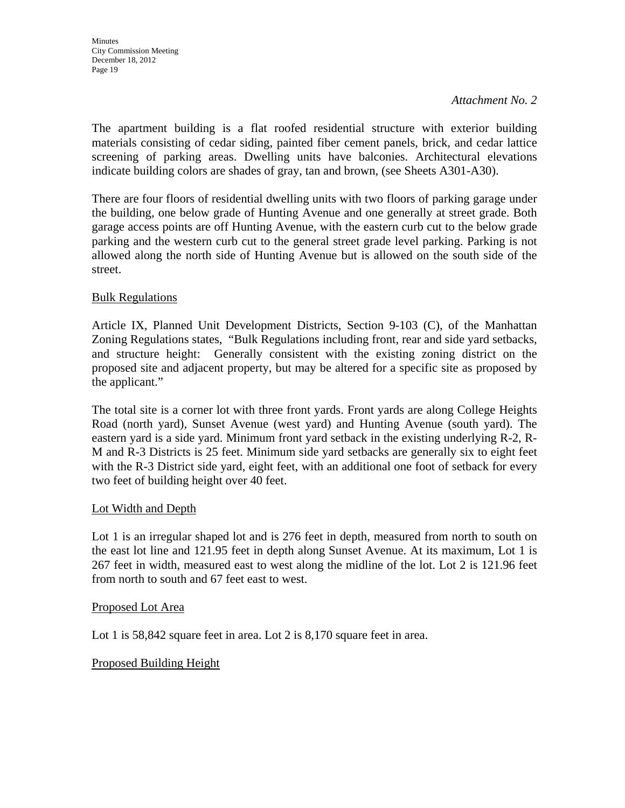The apartment building is a flat roofed residential structure with exterior building materials consisting of cedar siding, painted fiber cement panels, brick, and cedar lattice screening of parking areas. Dwelling units have balconies. Architectural elevations indicate building colors are shades of gray, tan and brown, (see Sheets A301-A30).

There are four floors of residential dwelling units with two floors of parking garage under the building, one below grade of Hunting Avenue and one generally at street grade. Both garage access points are off Hunting Avenue, with the eastern curb cut to the below grade parking and the western curb cut to the general street grade level parking. Parking is not allowed along the north side of Hunting Avenue but is allowed on the south side of the street.

## Bulk Regulations

Article IX, Planned Unit Development Districts, Section 9-103 (C), of the Manhattan Zoning Regulations states, "Bulk Regulations including front, rear and side yard setbacks, and structure height: Generally consistent with the existing zoning district on the proposed site and adjacent property, but may be altered for a specific site as proposed by the applicant."

The total site is a corner lot with three front yards. Front yards are along College Heights Road (north yard), Sunset Avenue (west yard) and Hunting Avenue (south yard). The eastern yard is a side yard. Minimum front yard setback in the existing underlying R-2, R-M and R-3 Districts is 25 feet. Minimum side yard setbacks are generally six to eight feet with the R-3 District side yard, eight feet, with an additional one foot of setback for every two feet of building height over 40 feet.

## Lot Width and Depth

Lot 1 is an irregular shaped lot and is 276 feet in depth, measured from north to south on the east lot line and 121.95 feet in depth along Sunset Avenue. At its maximum, Lot 1 is 267 feet in width, measured east to west along the midline of the lot. Lot 2 is 121.96 feet from north to south and 67 feet east to west.

#### Proposed Lot Area

Lot 1 is 58,842 square feet in area. Lot 2 is 8,170 square feet in area.

#### Proposed Building Height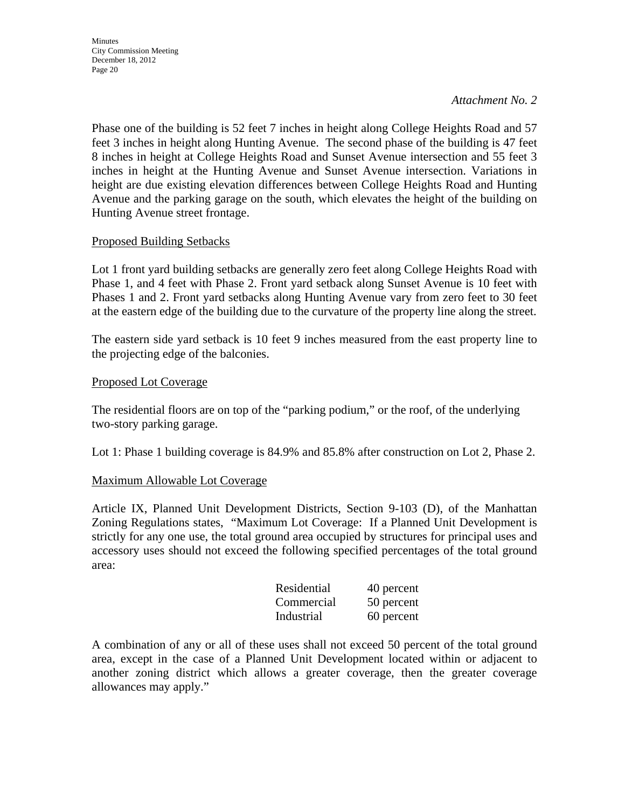Phase one of the building is 52 feet 7 inches in height along College Heights Road and 57 feet 3 inches in height along Hunting Avenue. The second phase of the building is 47 feet 8 inches in height at College Heights Road and Sunset Avenue intersection and 55 feet 3 inches in height at the Hunting Avenue and Sunset Avenue intersection. Variations in height are due existing elevation differences between College Heights Road and Hunting Avenue and the parking garage on the south, which elevates the height of the building on Hunting Avenue street frontage.

#### Proposed Building Setbacks

Lot 1 front yard building setbacks are generally zero feet along College Heights Road with Phase 1, and 4 feet with Phase 2. Front yard setback along Sunset Avenue is 10 feet with Phases 1 and 2. Front yard setbacks along Hunting Avenue vary from zero feet to 30 feet at the eastern edge of the building due to the curvature of the property line along the street.

The eastern side yard setback is 10 feet 9 inches measured from the east property line to the projecting edge of the balconies.

#### Proposed Lot Coverage

The residential floors are on top of the "parking podium," or the roof, of the underlying two-story parking garage.

Lot 1: Phase 1 building coverage is 84.9% and 85.8% after construction on Lot 2, Phase 2.

#### Maximum Allowable Lot Coverage

Article IX, Planned Unit Development Districts, Section 9-103 (D), of the Manhattan Zoning Regulations states, "Maximum Lot Coverage: If a Planned Unit Development is strictly for any one use, the total ground area occupied by structures for principal uses and accessory uses should not exceed the following specified percentages of the total ground area:

| Residential | 40 percent |
|-------------|------------|
| Commercial  | 50 percent |
| Industrial  | 60 percent |

A combination of any or all of these uses shall not exceed 50 percent of the total ground area, except in the case of a Planned Unit Development located within or adjacent to another zoning district which allows a greater coverage, then the greater coverage allowances may apply."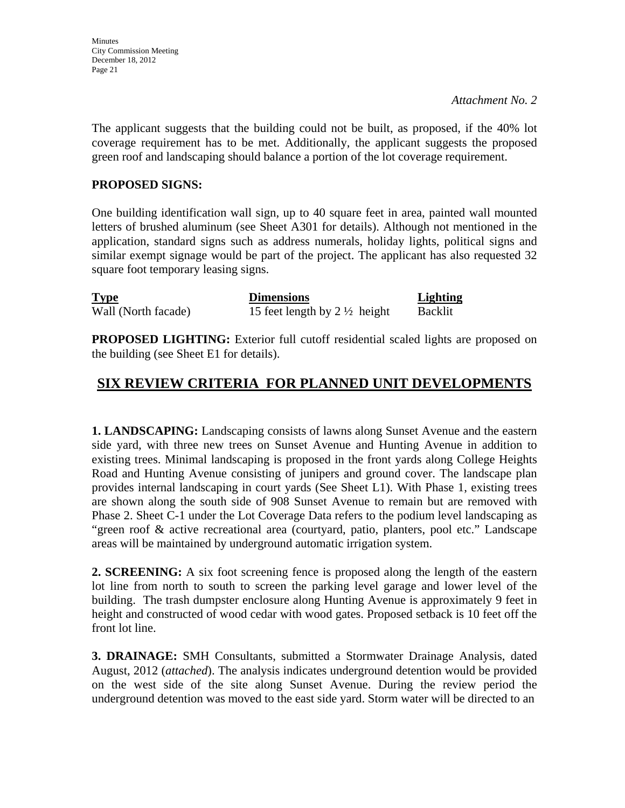The applicant suggests that the building could not be built, as proposed, if the 40% lot coverage requirement has to be met. Additionally, the applicant suggests the proposed green roof and landscaping should balance a portion of the lot coverage requirement.

## **PROPOSED SIGNS:**

One building identification wall sign, up to 40 square feet in area, painted wall mounted letters of brushed aluminum (see Sheet A301 for details). Although not mentioned in the application, standard signs such as address numerals, holiday lights, political signs and similar exempt signage would be part of the project. The applicant has also requested 32 square foot temporary leasing signs.

| <b>Type</b>         | <b>Dimensions</b>                       | <b>Lighting</b> |
|---------------------|-----------------------------------------|-----------------|
| Wall (North facade) | 15 feet length by $2\frac{1}{2}$ height | <b>Backlit</b>  |

**PROPOSED LIGHTING:** Exterior full cutoff residential scaled lights are proposed on the building (see Sheet E1 for details).

# **SIX REVIEW CRITERIA FOR PLANNED UNIT DEVELOPMENTS**

**1. LANDSCAPING:** Landscaping consists of lawns along Sunset Avenue and the eastern side yard, with three new trees on Sunset Avenue and Hunting Avenue in addition to existing trees. Minimal landscaping is proposed in the front yards along College Heights Road and Hunting Avenue consisting of junipers and ground cover. The landscape plan provides internal landscaping in court yards (See Sheet L1). With Phase 1, existing trees are shown along the south side of 908 Sunset Avenue to remain but are removed with Phase 2. Sheet C-1 under the Lot Coverage Data refers to the podium level landscaping as "green roof & active recreational area (courtyard, patio, planters, pool etc." Landscape areas will be maintained by underground automatic irrigation system.

**2. SCREENING:** A six foot screening fence is proposed along the length of the eastern lot line from north to south to screen the parking level garage and lower level of the building. The trash dumpster enclosure along Hunting Avenue is approximately 9 feet in height and constructed of wood cedar with wood gates. Proposed setback is 10 feet off the front lot line.

**3. DRAINAGE:** SMH Consultants, submitted a Stormwater Drainage Analysis, dated August, 2012 (*attached*). The analysis indicates underground detention would be provided on the west side of the site along Sunset Avenue. During the review period the underground detention was moved to the east side yard. Storm water will be directed to an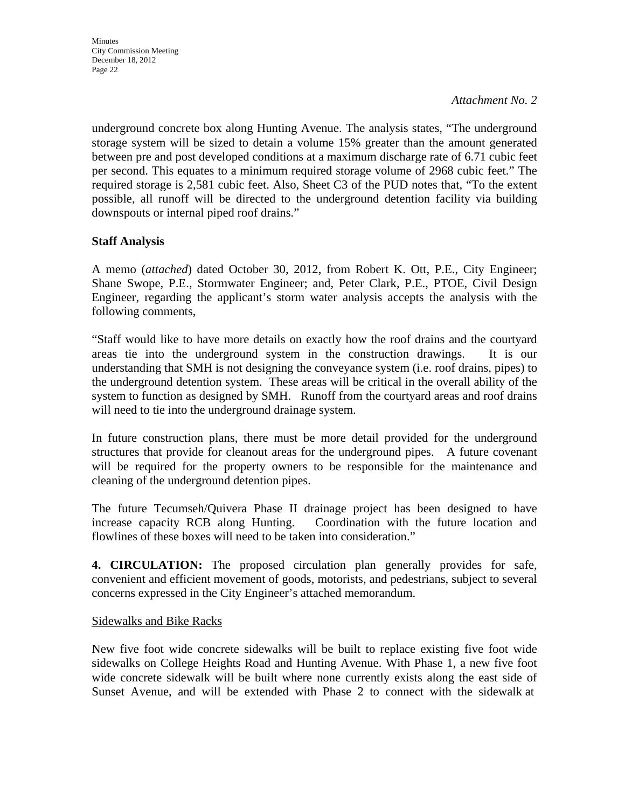**Minutes** City Commission Meeting December 18, 2012 Page 22

*Attachment No. 2*

underground concrete box along Hunting Avenue. The analysis states, "The underground storage system will be sized to detain a volume 15% greater than the amount generated between pre and post developed conditions at a maximum discharge rate of 6.71 cubic feet per second. This equates to a minimum required storage volume of 2968 cubic feet." The required storage is 2,581 cubic feet. Also, Sheet C3 of the PUD notes that, "To the extent possible, all runoff will be directed to the underground detention facility via building downspouts or internal piped roof drains."

## **Staff Analysis**

A memo (*attached*) dated October 30, 2012, from Robert K. Ott, P.E., City Engineer; Shane Swope, P.E., Stormwater Engineer; and, Peter Clark, P.E., PTOE, Civil Design Engineer, regarding the applicant's storm water analysis accepts the analysis with the following comments,

"Staff would like to have more details on exactly how the roof drains and the courtyard areas tie into the underground system in the construction drawings. It is our understanding that SMH is not designing the conveyance system (i.e. roof drains, pipes) to the underground detention system. These areas will be critical in the overall ability of the system to function as designed by SMH. Runoff from the courtyard areas and roof drains will need to tie into the underground drainage system.

In future construction plans, there must be more detail provided for the underground structures that provide for cleanout areas for the underground pipes. A future covenant will be required for the property owners to be responsible for the maintenance and cleaning of the underground detention pipes.

The future Tecumseh/Quivera Phase II drainage project has been designed to have increase capacity RCB along Hunting. Coordination with the future location and flowlines of these boxes will need to be taken into consideration."

**4. CIRCULATION:** The proposed circulation plan generally provides for safe, convenient and efficient movement of goods, motorists, and pedestrians, subject to several concerns expressed in the City Engineer's attached memorandum.

#### Sidewalks and Bike Racks

New five foot wide concrete sidewalks will be built to replace existing five foot wide sidewalks on College Heights Road and Hunting Avenue. With Phase 1, a new five foot wide concrete sidewalk will be built where none currently exists along the east side of Sunset Avenue, and will be extended with Phase 2 to connect with the sidewalk at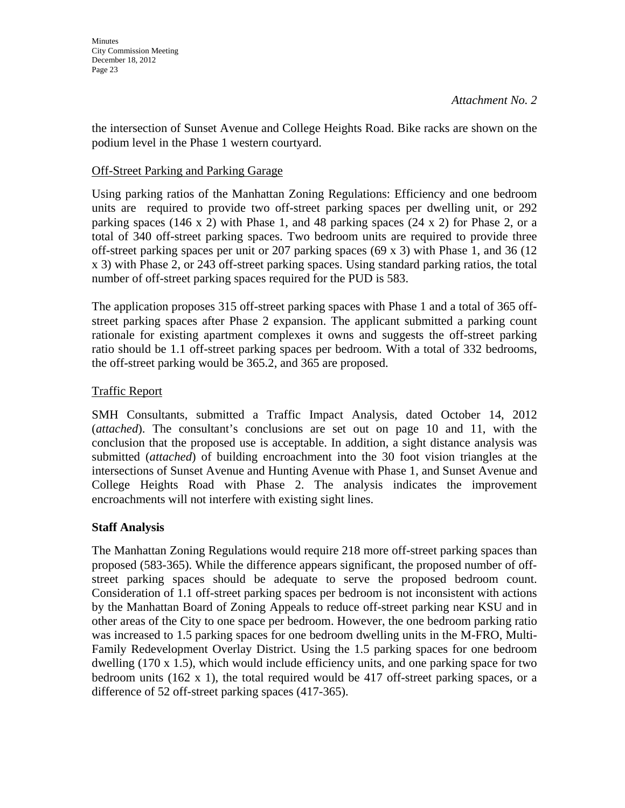the intersection of Sunset Avenue and College Heights Road. Bike racks are shown on the podium level in the Phase 1 western courtyard.

#### Off-Street Parking and Parking Garage

Using parking ratios of the Manhattan Zoning Regulations: Efficiency and one bedroom units are required to provide two off-street parking spaces per dwelling unit, or 292 parking spaces (146 x 2) with Phase 1, and 48 parking spaces (24 x 2) for Phase 2, or a total of 340 off-street parking spaces. Two bedroom units are required to provide three off-street parking spaces per unit or 207 parking spaces (69 x 3) with Phase 1, and 36 (12 x 3) with Phase 2, or 243 off-street parking spaces. Using standard parking ratios, the total number of off-street parking spaces required for the PUD is 583.

The application proposes 315 off-street parking spaces with Phase 1 and a total of 365 offstreet parking spaces after Phase 2 expansion. The applicant submitted a parking count rationale for existing apartment complexes it owns and suggests the off-street parking ratio should be 1.1 off-street parking spaces per bedroom. With a total of 332 bedrooms, the off-street parking would be 365.2, and 365 are proposed.

## Traffic Report

SMH Consultants, submitted a Traffic Impact Analysis, dated October 14, 2012 (*attached*). The consultant's conclusions are set out on page 10 and 11, with the conclusion that the proposed use is acceptable. In addition, a sight distance analysis was submitted (*attached*) of building encroachment into the 30 foot vision triangles at the intersections of Sunset Avenue and Hunting Avenue with Phase 1, and Sunset Avenue and College Heights Road with Phase 2. The analysis indicates the improvement encroachments will not interfere with existing sight lines.

## **Staff Analysis**

The Manhattan Zoning Regulations would require 218 more off-street parking spaces than proposed (583-365). While the difference appears significant, the proposed number of offstreet parking spaces should be adequate to serve the proposed bedroom count. Consideration of 1.1 off-street parking spaces per bedroom is not inconsistent with actions by the Manhattan Board of Zoning Appeals to reduce off-street parking near KSU and in other areas of the City to one space per bedroom. However, the one bedroom parking ratio was increased to 1.5 parking spaces for one bedroom dwelling units in the M-FRO, Multi-Family Redevelopment Overlay District. Using the 1.5 parking spaces for one bedroom dwelling (170 x 1.5), which would include efficiency units, and one parking space for two bedroom units (162 x 1), the total required would be 417 off-street parking spaces, or a difference of 52 off-street parking spaces (417-365).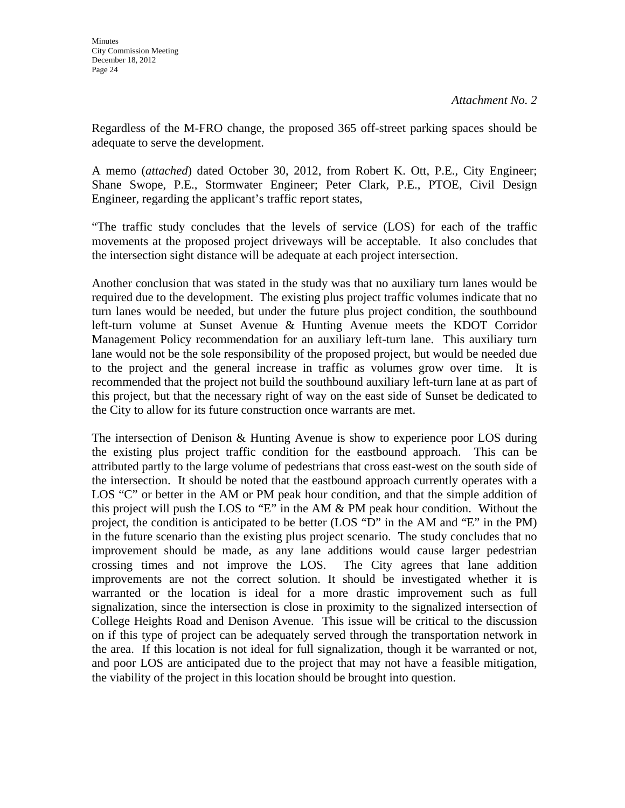Regardless of the M-FRO change, the proposed 365 off-street parking spaces should be adequate to serve the development.

A memo (*attached*) dated October 30, 2012, from Robert K. Ott, P.E., City Engineer; Shane Swope, P.E., Stormwater Engineer; Peter Clark, P.E., PTOE, Civil Design Engineer, regarding the applicant's traffic report states,

"The traffic study concludes that the levels of service (LOS) for each of the traffic movements at the proposed project driveways will be acceptable. It also concludes that the intersection sight distance will be adequate at each project intersection.

Another conclusion that was stated in the study was that no auxiliary turn lanes would be required due to the development. The existing plus project traffic volumes indicate that no turn lanes would be needed, but under the future plus project condition, the southbound left-turn volume at Sunset Avenue & Hunting Avenue meets the KDOT Corridor Management Policy recommendation for an auxiliary left-turn lane. This auxiliary turn lane would not be the sole responsibility of the proposed project, but would be needed due to the project and the general increase in traffic as volumes grow over time. It is recommended that the project not build the southbound auxiliary left-turn lane at as part of this project, but that the necessary right of way on the east side of Sunset be dedicated to the City to allow for its future construction once warrants are met.

The intersection of Denison & Hunting Avenue is show to experience poor LOS during the existing plus project traffic condition for the eastbound approach. This can be attributed partly to the large volume of pedestrians that cross east-west on the south side of the intersection. It should be noted that the eastbound approach currently operates with a LOS "C" or better in the AM or PM peak hour condition, and that the simple addition of this project will push the LOS to "E" in the AM & PM peak hour condition. Without the project, the condition is anticipated to be better (LOS "D" in the AM and "E" in the PM) in the future scenario than the existing plus project scenario. The study concludes that no improvement should be made, as any lane additions would cause larger pedestrian crossing times and not improve the LOS. The City agrees that lane addition improvements are not the correct solution. It should be investigated whether it is warranted or the location is ideal for a more drastic improvement such as full signalization, since the intersection is close in proximity to the signalized intersection of College Heights Road and Denison Avenue. This issue will be critical to the discussion on if this type of project can be adequately served through the transportation network in the area. If this location is not ideal for full signalization, though it be warranted or not, and poor LOS are anticipated due to the project that may not have a feasible mitigation, the viability of the project in this location should be brought into question.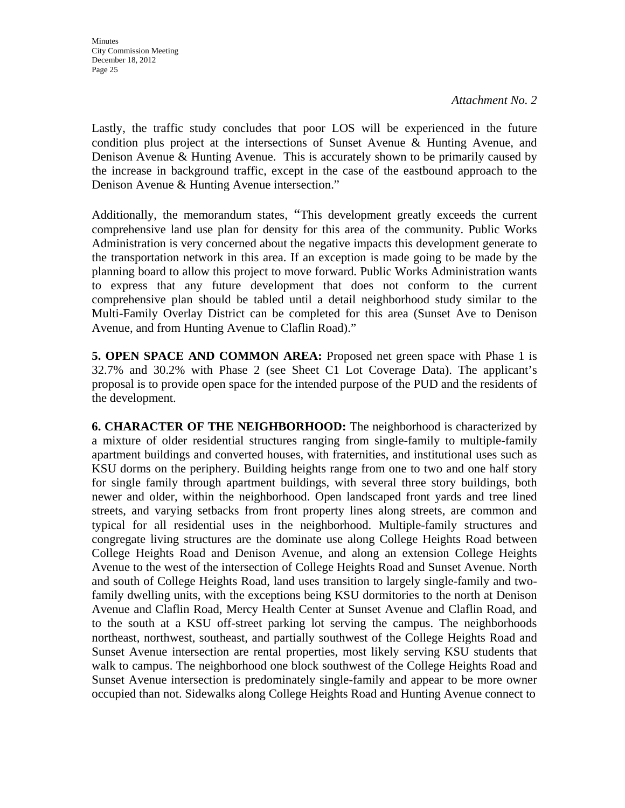Lastly, the traffic study concludes that poor LOS will be experienced in the future condition plus project at the intersections of Sunset Avenue & Hunting Avenue, and Denison Avenue & Hunting Avenue. This is accurately shown to be primarily caused by the increase in background traffic, except in the case of the eastbound approach to the Denison Avenue & Hunting Avenue intersection."

Additionally, the memorandum states, "This development greatly exceeds the current comprehensive land use plan for density for this area of the community. Public Works Administration is very concerned about the negative impacts this development generate to the transportation network in this area. If an exception is made going to be made by the planning board to allow this project to move forward. Public Works Administration wants to express that any future development that does not conform to the current comprehensive plan should be tabled until a detail neighborhood study similar to the Multi-Family Overlay District can be completed for this area (Sunset Ave to Denison Avenue, and from Hunting Avenue to Claflin Road)."

**5. OPEN SPACE AND COMMON AREA:** Proposed net green space with Phase 1 is 32.7% and 30.2% with Phase 2 (see Sheet C1 Lot Coverage Data). The applicant's proposal is to provide open space for the intended purpose of the PUD and the residents of the development.

**6. CHARACTER OF THE NEIGHBORHOOD:** The neighborhood is characterized by a mixture of older residential structures ranging from single-family to multiple-family apartment buildings and converted houses, with fraternities, and institutional uses such as KSU dorms on the periphery. Building heights range from one to two and one half story for single family through apartment buildings, with several three story buildings, both newer and older, within the neighborhood. Open landscaped front yards and tree lined streets, and varying setbacks from front property lines along streets, are common and typical for all residential uses in the neighborhood. Multiple-family structures and congregate living structures are the dominate use along College Heights Road between College Heights Road and Denison Avenue, and along an extension College Heights Avenue to the west of the intersection of College Heights Road and Sunset Avenue. North and south of College Heights Road, land uses transition to largely single-family and twofamily dwelling units, with the exceptions being KSU dormitories to the north at Denison Avenue and Claflin Road, Mercy Health Center at Sunset Avenue and Claflin Road, and to the south at a KSU off-street parking lot serving the campus. The neighborhoods northeast, northwest, southeast, and partially southwest of the College Heights Road and Sunset Avenue intersection are rental properties, most likely serving KSU students that walk to campus. The neighborhood one block southwest of the College Heights Road and Sunset Avenue intersection is predominately single-family and appear to be more owner occupied than not. Sidewalks along College Heights Road and Hunting Avenue connect to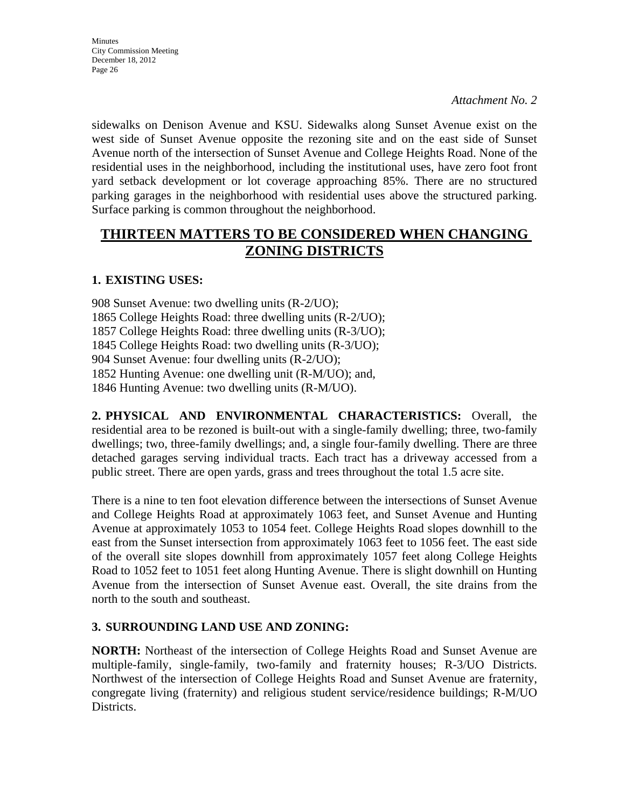sidewalks on Denison Avenue and KSU. Sidewalks along Sunset Avenue exist on the west side of Sunset Avenue opposite the rezoning site and on the east side of Sunset Avenue north of the intersection of Sunset Avenue and College Heights Road. None of the residential uses in the neighborhood, including the institutional uses, have zero foot front yard setback development or lot coverage approaching 85%. There are no structured parking garages in the neighborhood with residential uses above the structured parking. Surface parking is common throughout the neighborhood.

# **THIRTEEN MATTERS TO BE CONSIDERED WHEN CHANGING ZONING DISTRICTS**

## **1. EXISTING USES:**

908 Sunset Avenue: two dwelling units (R-2/UO); 1865 College Heights Road: three dwelling units (R-2/UO); 1857 College Heights Road: three dwelling units (R-3/UO); 1845 College Heights Road: two dwelling units (R-3/UO); 904 Sunset Avenue: four dwelling units (R-2/UO); 1852 Hunting Avenue: one dwelling unit (R-M/UO); and, 1846 Hunting Avenue: two dwelling units (R-M/UO).

**2. PHYSICAL AND ENVIRONMENTAL CHARACTERISTICS:** Overall, the residential area to be rezoned is built-out with a single-family dwelling; three, two-family dwellings; two, three-family dwellings; and, a single four-family dwelling. There are three detached garages serving individual tracts. Each tract has a driveway accessed from a public street. There are open yards, grass and trees throughout the total 1.5 acre site.

There is a nine to ten foot elevation difference between the intersections of Sunset Avenue and College Heights Road at approximately 1063 feet, and Sunset Avenue and Hunting Avenue at approximately 1053 to 1054 feet. College Heights Road slopes downhill to the east from the Sunset intersection from approximately 1063 feet to 1056 feet. The east side of the overall site slopes downhill from approximately 1057 feet along College Heights Road to 1052 feet to 1051 feet along Hunting Avenue. There is slight downhill on Hunting Avenue from the intersection of Sunset Avenue east. Overall, the site drains from the north to the south and southeast.

#### **3. SURROUNDING LAND USE AND ZONING:**

**NORTH:** Northeast of the intersection of College Heights Road and Sunset Avenue are multiple-family, single-family, two-family and fraternity houses; R-3/UO Districts. Northwest of the intersection of College Heights Road and Sunset Avenue are fraternity, congregate living (fraternity) and religious student service/residence buildings; R-M/UO Districts.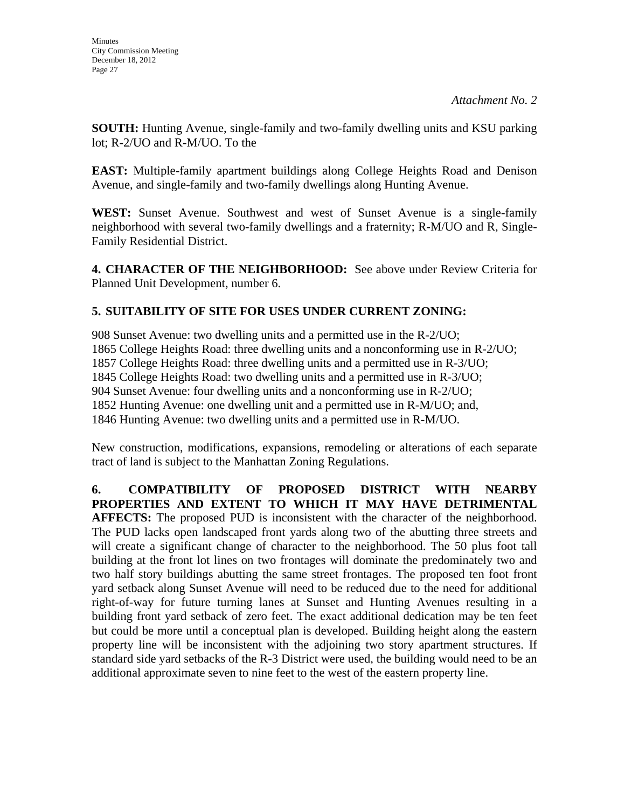**SOUTH:** Hunting Avenue, single-family and two-family dwelling units and KSU parking lot; R-2/UO and R-M/UO. To the

**EAST:** Multiple-family apartment buildings along College Heights Road and Denison Avenue, and single-family and two-family dwellings along Hunting Avenue.

**WEST:** Sunset Avenue. Southwest and west of Sunset Avenue is a single-family neighborhood with several two-family dwellings and a fraternity; R-M/UO and R, Single-Family Residential District.

**4. CHARACTER OF THE NEIGHBORHOOD:** See above under Review Criteria for Planned Unit Development, number 6.

# **5. SUITABILITY OF SITE FOR USES UNDER CURRENT ZONING:**

908 Sunset Avenue: two dwelling units and a permitted use in the R-2/UO; 1865 College Heights Road: three dwelling units and a nonconforming use in R-2/UO; 1857 College Heights Road: three dwelling units and a permitted use in R-3/UO; 1845 College Heights Road: two dwelling units and a permitted use in R-3/UO; 904 Sunset Avenue: four dwelling units and a nonconforming use in R-2/UO; 1852 Hunting Avenue: one dwelling unit and a permitted use in R-M/UO; and, 1846 Hunting Avenue: two dwelling units and a permitted use in R-M/UO.

New construction, modifications, expansions, remodeling or alterations of each separate tract of land is subject to the Manhattan Zoning Regulations.

**6. COMPATIBILITY OF PROPOSED DISTRICT WITH NEARBY PROPERTIES AND EXTENT TO WHICH IT MAY HAVE DETRIMENTAL AFFECTS:** The proposed PUD is inconsistent with the character of the neighborhood. The PUD lacks open landscaped front yards along two of the abutting three streets and will create a significant change of character to the neighborhood. The 50 plus foot tall building at the front lot lines on two frontages will dominate the predominately two and two half story buildings abutting the same street frontages. The proposed ten foot front yard setback along Sunset Avenue will need to be reduced due to the need for additional right-of-way for future turning lanes at Sunset and Hunting Avenues resulting in a building front yard setback of zero feet. The exact additional dedication may be ten feet but could be more until a conceptual plan is developed. Building height along the eastern property line will be inconsistent with the adjoining two story apartment structures. If standard side yard setbacks of the R-3 District were used, the building would need to be an additional approximate seven to nine feet to the west of the eastern property line.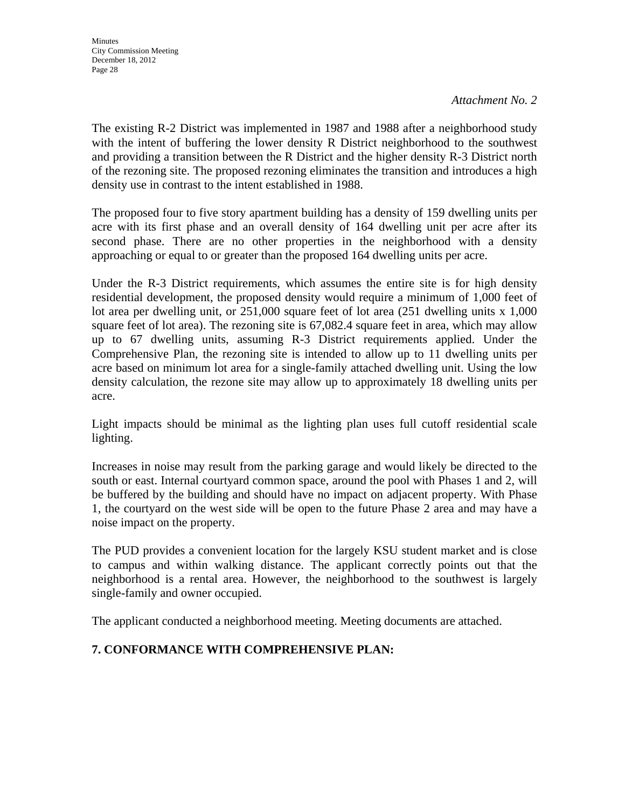The existing R-2 District was implemented in 1987 and 1988 after a neighborhood study with the intent of buffering the lower density R District neighborhood to the southwest and providing a transition between the R District and the higher density R-3 District north of the rezoning site. The proposed rezoning eliminates the transition and introduces a high density use in contrast to the intent established in 1988.

The proposed four to five story apartment building has a density of 159 dwelling units per acre with its first phase and an overall density of 164 dwelling unit per acre after its second phase. There are no other properties in the neighborhood with a density approaching or equal to or greater than the proposed 164 dwelling units per acre.

Under the R-3 District requirements, which assumes the entire site is for high density residential development, the proposed density would require a minimum of 1,000 feet of lot area per dwelling unit, or 251,000 square feet of lot area (251 dwelling units x 1,000 square feet of lot area). The rezoning site is  $67,082.4$  square feet in area, which may allow up to 67 dwelling units, assuming R-3 District requirements applied. Under the Comprehensive Plan, the rezoning site is intended to allow up to 11 dwelling units per acre based on minimum lot area for a single-family attached dwelling unit. Using the low density calculation, the rezone site may allow up to approximately 18 dwelling units per acre.

Light impacts should be minimal as the lighting plan uses full cutoff residential scale lighting.

Increases in noise may result from the parking garage and would likely be directed to the south or east. Internal courtyard common space, around the pool with Phases 1 and 2, will be buffered by the building and should have no impact on adjacent property. With Phase 1, the courtyard on the west side will be open to the future Phase 2 area and may have a noise impact on the property.

The PUD provides a convenient location for the largely KSU student market and is close to campus and within walking distance. The applicant correctly points out that the neighborhood is a rental area. However, the neighborhood to the southwest is largely single-family and owner occupied.

The applicant conducted a neighborhood meeting. Meeting documents are attached.

## **7. CONFORMANCE WITH COMPREHENSIVE PLAN:**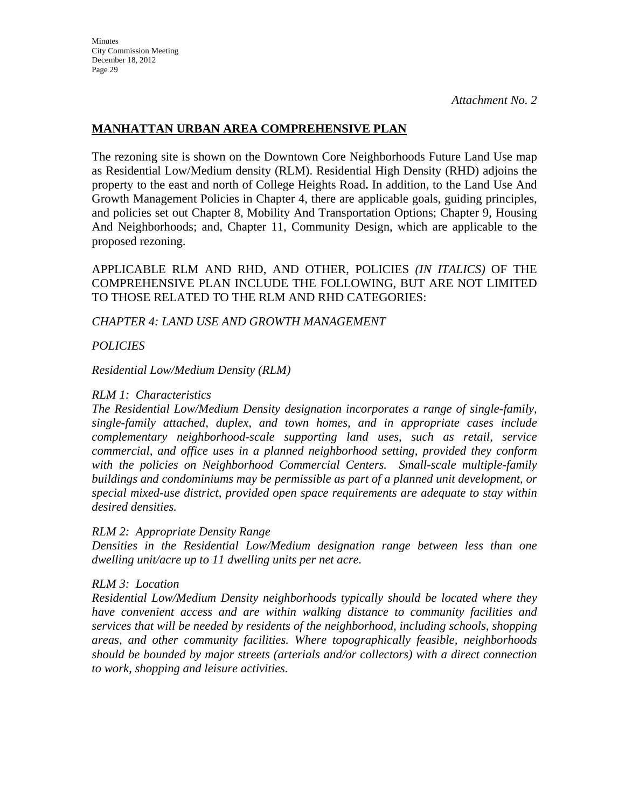## **MANHATTAN URBAN AREA COMPREHENSIVE PLAN**

The rezoning site is shown on the Downtown Core Neighborhoods Future Land Use map as Residential Low/Medium density (RLM). Residential High Density (RHD) adjoins the property to the east and north of College Heights Road**.** In addition, to the Land Use And Growth Management Policies in Chapter 4, there are applicable goals, guiding principles, and policies set out Chapter 8, Mobility And Transportation Options; Chapter 9, Housing And Neighborhoods; and, Chapter 11, Community Design, which are applicable to the proposed rezoning.

APPLICABLE RLM AND RHD, AND OTHER, POLICIES *(IN ITALICS)* OF THE COMPREHENSIVE PLAN INCLUDE THE FOLLOWING, BUT ARE NOT LIMITED TO THOSE RELATED TO THE RLM AND RHD CATEGORIES:

#### *CHAPTER 4: LAND USE AND GROWTH MANAGEMENT*

*POLICIES* 

*Residential Low/Medium Density (RLM)* 

#### *RLM 1: Characteristics*

*The Residential Low/Medium Density designation incorporates a range of single-family, single-family attached, duplex, and town homes, and in appropriate cases include complementary neighborhood-scale supporting land uses, such as retail, service commercial, and office uses in a planned neighborhood setting, provided they conform with the policies on Neighborhood Commercial Centers. Small-scale multiple-family buildings and condominiums may be permissible as part of a planned unit development, or special mixed-use district, provided open space requirements are adequate to stay within desired densities.* 

#### *RLM 2: Appropriate Density Range*

*Densities in the Residential Low/Medium designation range between less than one dwelling unit/acre up to 11 dwelling units per net acre.* 

#### *RLM 3: Location*

*Residential Low/Medium Density neighborhoods typically should be located where they have convenient access and are within walking distance to community facilities and services that will be needed by residents of the neighborhood, including schools, shopping areas, and other community facilities. Where topographically feasible, neighborhoods should be bounded by major streets (arterials and/or collectors) with a direct connection to work, shopping and leisure activities.*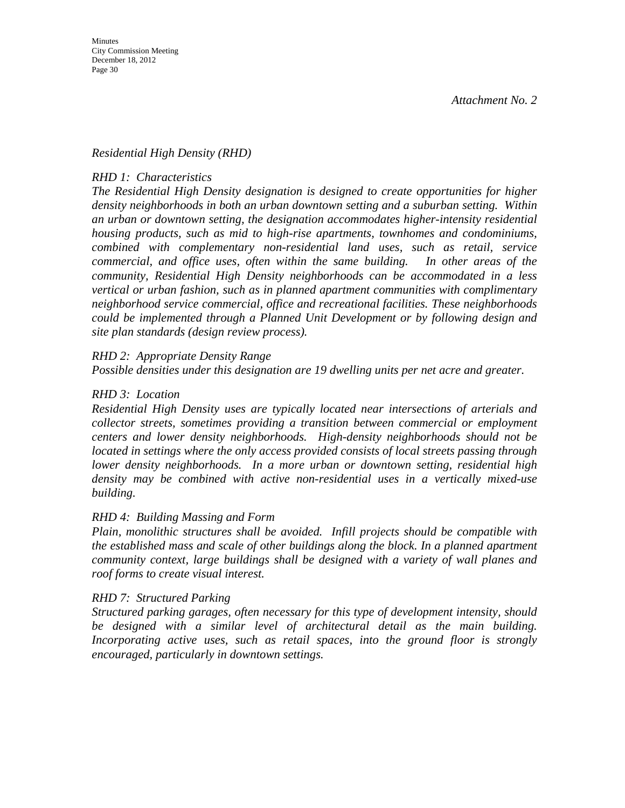#### *Residential High Density (RHD)*

#### *RHD 1: Characteristics*

*The Residential High Density designation is designed to create opportunities for higher density neighborhoods in both an urban downtown setting and a suburban setting. Within an urban or downtown setting, the designation accommodates higher-intensity residential housing products, such as mid to high-rise apartments, townhomes and condominiums, combined with complementary non-residential land uses, such as retail, service commercial, and office uses, often within the same building. In other areas of the community, Residential High Density neighborhoods can be accommodated in a less vertical or urban fashion, such as in planned apartment communities with complimentary neighborhood service commercial, office and recreational facilities. These neighborhoods could be implemented through a Planned Unit Development or by following design and site plan standards (design review process).* 

#### *RHD 2: Appropriate Density Range*

*Possible densities under this designation are 19 dwelling units per net acre and greater.* 

#### *RHD 3: Location*

*Residential High Density uses are typically located near intersections of arterials and collector streets, sometimes providing a transition between commercial or employment centers and lower density neighborhoods. High-density neighborhoods should not be located in settings where the only access provided consists of local streets passing through lower density neighborhoods. In a more urban or downtown setting, residential high density may be combined with active non-residential uses in a vertically mixed-use building.* 

#### *RHD 4: Building Massing and Form*

*Plain, monolithic structures shall be avoided. Infill projects should be compatible with the established mass and scale of other buildings along the block. In a planned apartment community context, large buildings shall be designed with a variety of wall planes and roof forms to create visual interest.* 

#### *RHD 7: Structured Parking*

*Structured parking garages, often necessary for this type of development intensity, should be designed with a similar level of architectural detail as the main building. Incorporating active uses, such as retail spaces, into the ground floor is strongly encouraged, particularly in downtown settings.*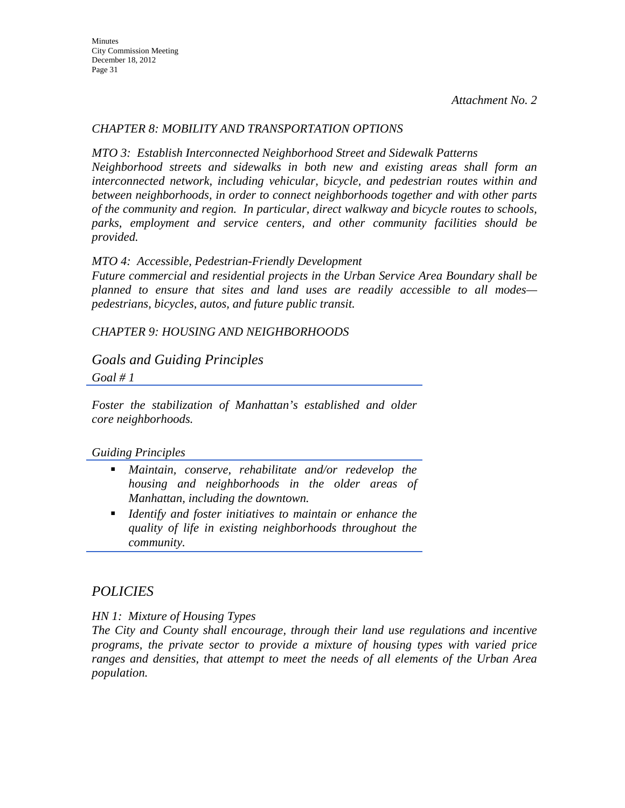## *CHAPTER 8: MOBILITY AND TRANSPORTATION OPTIONS*

*MTO 3: Establish Interconnected Neighborhood Street and Sidewalk Patterns Neighborhood streets and sidewalks in both new and existing areas shall form an interconnected network, including vehicular, bicycle, and pedestrian routes within and between neighborhoods, in order to connect neighborhoods together and with other parts of the community and region. In particular, direct walkway and bicycle routes to schools, parks, employment and service centers, and other community facilities should be provided.* 

#### *MTO 4: Accessible, Pedestrian-Friendly Development*

*Future commercial and residential projects in the Urban Service Area Boundary shall be planned to ensure that sites and land uses are readily accessible to all modes pedestrians, bicycles, autos, and future public transit.* 

*CHAPTER 9: HOUSING AND NEIGHBORHOODS* 

## *Goals and Guiding Principles*

*Goal # 1* 

*Foster the stabilization of Manhattan's established and older core neighborhoods.* 

#### *Guiding Principles*

- *Maintain, conserve, rehabilitate and/or redevelop the housing and neighborhoods in the older areas of Manhattan, including the downtown.*
- *Identify and foster initiatives to maintain or enhance the quality of life in existing neighborhoods throughout the community.*

## *POLICIES*

*HN 1: Mixture of Housing Types* 

*The City and County shall encourage, through their land use regulations and incentive programs, the private sector to provide a mixture of housing types with varied price ranges and densities, that attempt to meet the needs of all elements of the Urban Area population.*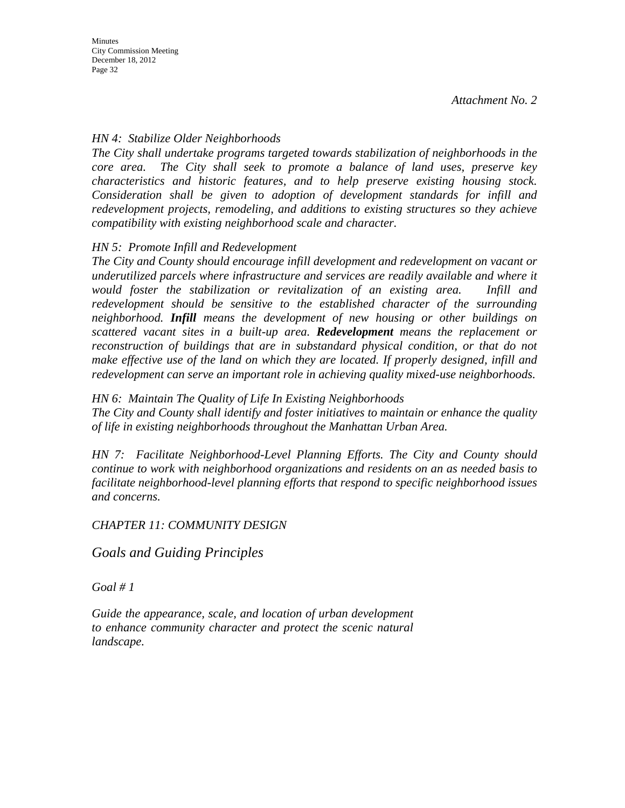## *HN 4: Stabilize Older Neighborhoods*

*The City shall undertake programs targeted towards stabilization of neighborhoods in the core area. The City shall seek to promote a balance of land uses, preserve key characteristics and historic features, and to help preserve existing housing stock. Consideration shall be given to adoption of development standards for infill and redevelopment projects, remodeling, and additions to existing structures so they achieve compatibility with existing neighborhood scale and character.* 

## *HN 5: Promote Infill and Redevelopment*

*The City and County should encourage infill development and redevelopment on vacant or underutilized parcels where infrastructure and services are readily available and where it would foster the stabilization or revitalization of an existing area. Infill and redevelopment should be sensitive to the established character of the surrounding neighborhood. Infill means the development of new housing or other buildings on scattered vacant sites in a built-up area. Redevelopment means the replacement or reconstruction of buildings that are in substandard physical condition, or that do not make effective use of the land on which they are located. If properly designed, infill and redevelopment can serve an important role in achieving quality mixed-use neighborhoods.* 

#### *HN 6: Maintain The Quality of Life In Existing Neighborhoods*

*The City and County shall identify and foster initiatives to maintain or enhance the quality of life in existing neighborhoods throughout the Manhattan Urban Area.* 

*HN 7: Facilitate Neighborhood-Level Planning Efforts. The City and County should continue to work with neighborhood organizations and residents on an as needed basis to facilitate neighborhood-level planning efforts that respond to specific neighborhood issues and concerns.* 

#### *CHAPTER 11: COMMUNITY DESIGN*

## *Goals and Guiding Principles*

*Goal # 1* 

*Guide the appearance, scale, and location of urban development to enhance community character and protect the scenic natural landscape.*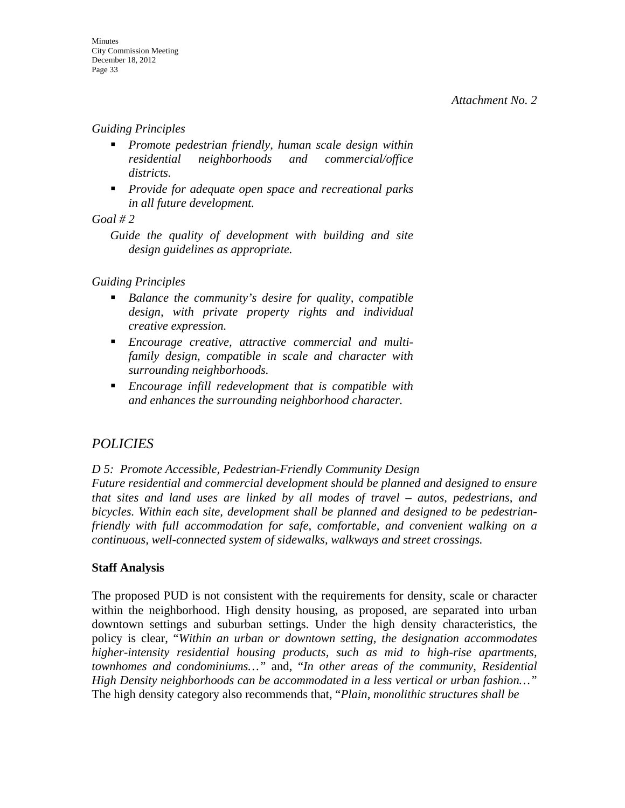#### *Guiding Principles*

- *Promote pedestrian friendly, human scale design within residential neighborhoods and commercial/office districts.*
- *Provide for adequate open space and recreational parks in all future development.*

#### *Goal # 2*

*Guide the quality of development with building and site design guidelines as appropriate.* 

#### *Guiding Principles*

- *Balance the community's desire for quality, compatible design, with private property rights and individual creative expression.*
- *Encourage creative, attractive commercial and multifamily design, compatible in scale and character with surrounding neighborhoods.*
- *Encourage infill redevelopment that is compatible with and enhances the surrounding neighborhood character.*

# *POLICIES*

*D 5: Promote Accessible, Pedestrian-Friendly Community Design Future residential and commercial development should be planned and designed to ensure that sites and land uses are linked by all modes of travel – autos, pedestrians, and bicycles. Within each site, development shall be planned and designed to be pedestrianfriendly with full accommodation for safe, comfortable, and convenient walking on a continuous, well-connected system of sidewalks, walkways and street crossings.* 

#### **Staff Analysis**

The proposed PUD is not consistent with the requirements for density, scale or character within the neighborhood. High density housing, as proposed, are separated into urban downtown settings and suburban settings. Under the high density characteristics, the policy is clear, "*Within an urban or downtown setting, the designation accommodates higher-intensity residential housing products, such as mid to high-rise apartments, townhomes and condominiums…"* and, "*In other areas of the community, Residential High Density neighborhoods can be accommodated in a less vertical or urban fashion…"* The high density category also recommends that, "*Plain, monolithic structures shall be*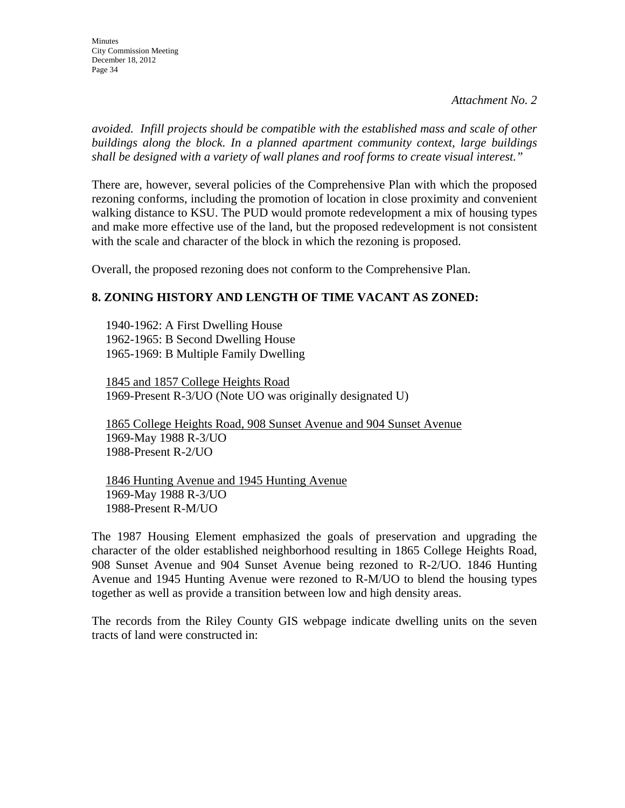*avoided. Infill projects should be compatible with the established mass and scale of other buildings along the block. In a planned apartment community context, large buildings shall be designed with a variety of wall planes and roof forms to create visual interest."* 

There are, however, several policies of the Comprehensive Plan with which the proposed rezoning conforms, including the promotion of location in close proximity and convenient walking distance to KSU. The PUD would promote redevelopment a mix of housing types and make more effective use of the land, but the proposed redevelopment is not consistent with the scale and character of the block in which the rezoning is proposed.

Overall, the proposed rezoning does not conform to the Comprehensive Plan.

# **8. ZONING HISTORY AND LENGTH OF TIME VACANT AS ZONED:**

1940-1962: A First Dwelling House 1962-1965: B Second Dwelling House 1965-1969: B Multiple Family Dwelling

1845 and 1857 College Heights Road 1969-Present R-3/UO (Note UO was originally designated U)

1865 College Heights Road, 908 Sunset Avenue and 904 Sunset Avenue 1969-May 1988 R-3/UO 1988-Present R-2/UO

 1846 Hunting Avenue and 1945 Hunting Avenue 1969-May 1988 R-3/UO 1988-Present R-M/UO

The 1987 Housing Element emphasized the goals of preservation and upgrading the character of the older established neighborhood resulting in 1865 College Heights Road, 908 Sunset Avenue and 904 Sunset Avenue being rezoned to R-2/UO. 1846 Hunting Avenue and 1945 Hunting Avenue were rezoned to R-M/UO to blend the housing types together as well as provide a transition between low and high density areas.

The records from the Riley County GIS webpage indicate dwelling units on the seven tracts of land were constructed in: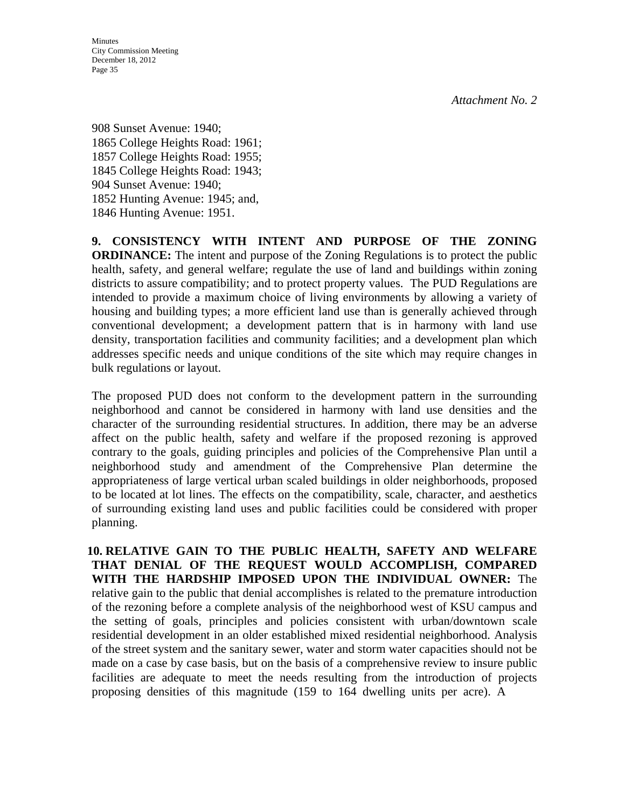**Minutes** City Commission Meeting December 18, 2012 Page 35

908 Sunset Avenue: 1940; 1865 College Heights Road: 1961; 1857 College Heights Road: 1955; 1845 College Heights Road: 1943; 904 Sunset Avenue: 1940; 1852 Hunting Avenue: 1945; and, 1846 Hunting Avenue: 1951.

**9. CONSISTENCY WITH INTENT AND PURPOSE OF THE ZONING ORDINANCE:** The intent and purpose of the Zoning Regulations is to protect the public health, safety, and general welfare; regulate the use of land and buildings within zoning districts to assure compatibility; and to protect property values. The PUD Regulations are intended to provide a maximum choice of living environments by allowing a variety of housing and building types; a more efficient land use than is generally achieved through conventional development; a development pattern that is in harmony with land use density, transportation facilities and community facilities; and a development plan which addresses specific needs and unique conditions of the site which may require changes in bulk regulations or layout.

The proposed PUD does not conform to the development pattern in the surrounding neighborhood and cannot be considered in harmony with land use densities and the character of the surrounding residential structures. In addition, there may be an adverse affect on the public health, safety and welfare if the proposed rezoning is approved contrary to the goals, guiding principles and policies of the Comprehensive Plan until a neighborhood study and amendment of the Comprehensive Plan determine the appropriateness of large vertical urban scaled buildings in older neighborhoods, proposed to be located at lot lines. The effects on the compatibility, scale, character, and aesthetics of surrounding existing land uses and public facilities could be considered with proper planning.

**10. RELATIVE GAIN TO THE PUBLIC HEALTH, SAFETY AND WELFARE THAT DENIAL OF THE REQUEST WOULD ACCOMPLISH, COMPARED WITH THE HARDSHIP IMPOSED UPON THE INDIVIDUAL OWNER:** The relative gain to the public that denial accomplishes is related to the premature introduction of the rezoning before a complete analysis of the neighborhood west of KSU campus and the setting of goals, principles and policies consistent with urban/downtown scale residential development in an older established mixed residential neighborhood. Analysis of the street system and the sanitary sewer, water and storm water capacities should not be made on a case by case basis, but on the basis of a comprehensive review to insure public facilities are adequate to meet the needs resulting from the introduction of projects proposing densities of this magnitude (159 to 164 dwelling units per acre). A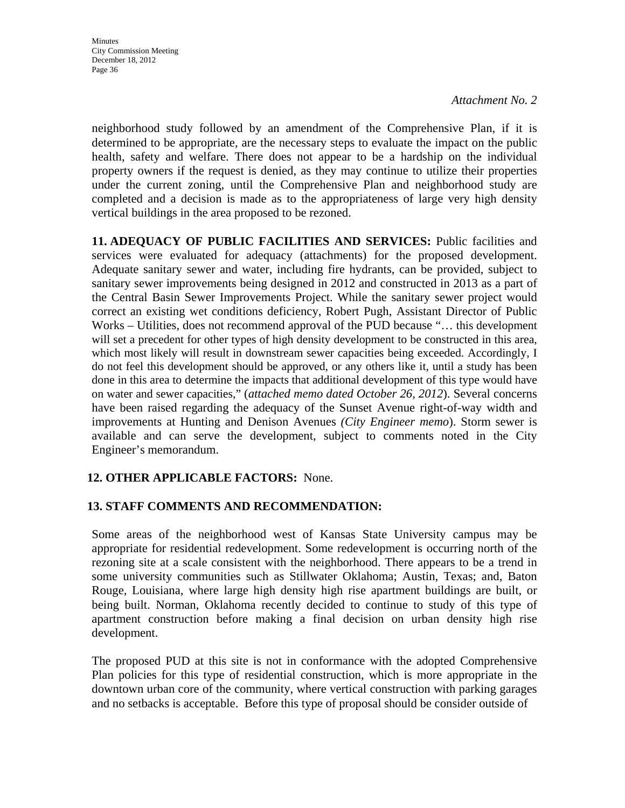neighborhood study followed by an amendment of the Comprehensive Plan, if it is determined to be appropriate, are the necessary steps to evaluate the impact on the public health, safety and welfare. There does not appear to be a hardship on the individual property owners if the request is denied, as they may continue to utilize their properties under the current zoning, until the Comprehensive Plan and neighborhood study are completed and a decision is made as to the appropriateness of large very high density vertical buildings in the area proposed to be rezoned.

**11. ADEQUACY OF PUBLIC FACILITIES AND SERVICES:** Public facilities and services were evaluated for adequacy (attachments) for the proposed development. Adequate sanitary sewer and water, including fire hydrants, can be provided, subject to sanitary sewer improvements being designed in 2012 and constructed in 2013 as a part of the Central Basin Sewer Improvements Project. While the sanitary sewer project would correct an existing wet conditions deficiency, Robert Pugh, Assistant Director of Public Works – Utilities, does not recommend approval of the PUD because "… this development will set a precedent for other types of high density development to be constructed in this area, which most likely will result in downstream sewer capacities being exceeded. Accordingly, I do not feel this development should be approved, or any others like it, until a study has been done in this area to determine the impacts that additional development of this type would have on water and sewer capacities," (*attached memo dated October 26, 2012*). Several concerns have been raised regarding the adequacy of the Sunset Avenue right-of-way width and improvements at Hunting and Denison Avenues *(City Engineer memo*). Storm sewer is available and can serve the development, subject to comments noted in the City Engineer's memorandum.

## **12. OTHER APPLICABLE FACTORS:** None.

#### **13. STAFF COMMENTS AND RECOMMENDATION:**

Some areas of the neighborhood west of Kansas State University campus may be appropriate for residential redevelopment. Some redevelopment is occurring north of the rezoning site at a scale consistent with the neighborhood. There appears to be a trend in some university communities such as Stillwater Oklahoma; Austin, Texas; and, Baton Rouge, Louisiana, where large high density high rise apartment buildings are built, or being built. Norman, Oklahoma recently decided to continue to study of this type of apartment construction before making a final decision on urban density high rise development.

The proposed PUD at this site is not in conformance with the adopted Comprehensive Plan policies for this type of residential construction, which is more appropriate in the downtown urban core of the community, where vertical construction with parking garages and no setbacks is acceptable. Before this type of proposal should be consider outside of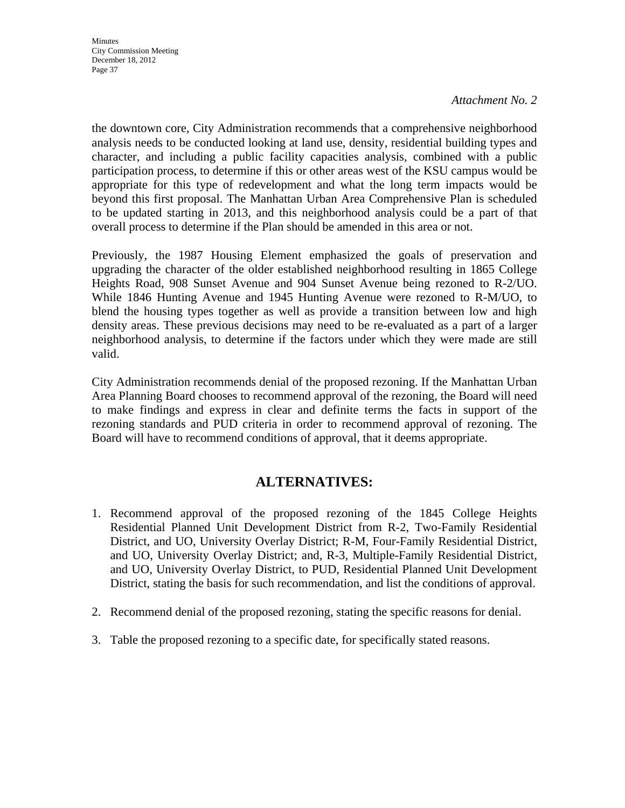**Minutes** City Commission Meeting December 18, 2012 Page 37

#### *Attachment No. 2*

the downtown core, City Administration recommends that a comprehensive neighborhood analysis needs to be conducted looking at land use, density, residential building types and character, and including a public facility capacities analysis, combined with a public participation process, to determine if this or other areas west of the KSU campus would be appropriate for this type of redevelopment and what the long term impacts would be beyond this first proposal. The Manhattan Urban Area Comprehensive Plan is scheduled to be updated starting in 2013, and this neighborhood analysis could be a part of that overall process to determine if the Plan should be amended in this area or not.

Previously, the 1987 Housing Element emphasized the goals of preservation and upgrading the character of the older established neighborhood resulting in 1865 College Heights Road, 908 Sunset Avenue and 904 Sunset Avenue being rezoned to R-2/UO. While 1846 Hunting Avenue and 1945 Hunting Avenue were rezoned to R-M/UO, to blend the housing types together as well as provide a transition between low and high density areas. These previous decisions may need to be re-evaluated as a part of a larger neighborhood analysis, to determine if the factors under which they were made are still valid.

City Administration recommends denial of the proposed rezoning. If the Manhattan Urban Area Planning Board chooses to recommend approval of the rezoning, the Board will need to make findings and express in clear and definite terms the facts in support of the rezoning standards and PUD criteria in order to recommend approval of rezoning. The Board will have to recommend conditions of approval, that it deems appropriate.

# **ALTERNATIVES:**

- 1. Recommend approval of the proposed rezoning of the 1845 College Heights Residential Planned Unit Development District from R-2, Two-Family Residential District, and UO, University Overlay District; R-M, Four-Family Residential District, and UO, University Overlay District; and, R-3, Multiple-Family Residential District, and UO, University Overlay District, to PUD, Residential Planned Unit Development District, stating the basis for such recommendation, and list the conditions of approval.
- 2. Recommend denial of the proposed rezoning, stating the specific reasons for denial.
- 3. Table the proposed rezoning to a specific date, for specifically stated reasons.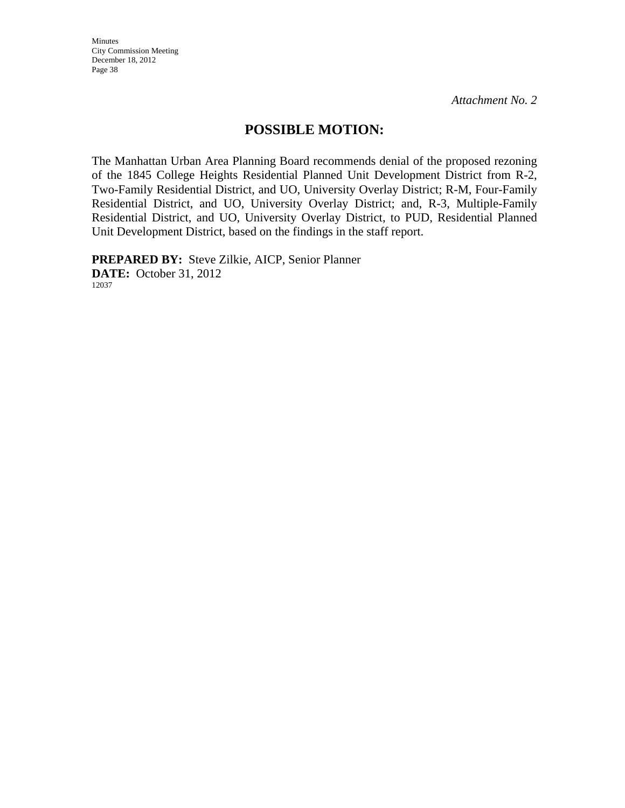Minutes City Commission Meeting December 18, 2012 Page 38

*Attachment No. 2*

# **POSSIBLE MOTION:**

The Manhattan Urban Area Planning Board recommends denial of the proposed rezoning of the 1845 College Heights Residential Planned Unit Development District from R-2, Two-Family Residential District, and UO, University Overlay District; R-M, Four-Family Residential District, and UO, University Overlay District; and, R-3, Multiple-Family Residential District, and UO, University Overlay District, to PUD, Residential Planned Unit Development District, based on the findings in the staff report.

**PREPARED BY:** Steve Zilkie, AICP, Senior Planner **DATE:** October 31, 2012 12037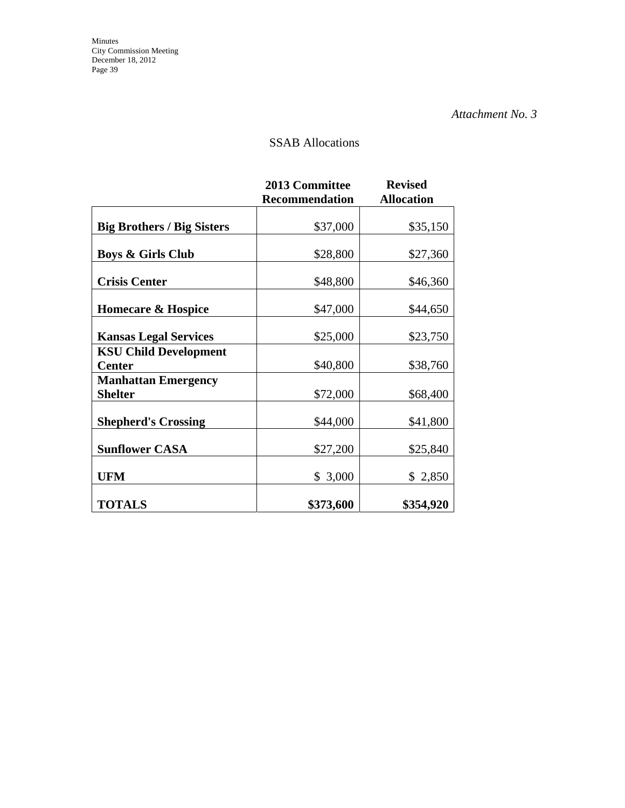# SSAB Allocations

|                                               | <b>2013 Committee</b><br><b>Recommendation</b> | <b>Revised</b><br><b>Allocation</b> |
|-----------------------------------------------|------------------------------------------------|-------------------------------------|
| <b>Big Brothers / Big Sisters</b>             | \$37,000                                       | \$35,150                            |
| <b>Boys &amp; Girls Club</b>                  | \$28,800                                       | \$27,360                            |
| <b>Crisis Center</b>                          | \$48,800                                       | \$46,360                            |
| <b>Homecare &amp; Hospice</b>                 | \$47,000                                       | \$44,650                            |
| <b>Kansas Legal Services</b>                  | \$25,000                                       | \$23,750                            |
| <b>KSU Child Development</b><br><b>Center</b> | \$40,800                                       | \$38,760                            |
| <b>Manhattan Emergency</b><br><b>Shelter</b>  | \$72,000                                       | \$68,400                            |
| <b>Shepherd's Crossing</b>                    | \$44,000                                       | \$41,800                            |
| <b>Sunflower CASA</b>                         | \$27,200                                       | \$25,840                            |
| <b>UFM</b>                                    | \$3,000                                        | \$ 2,850                            |
| <b>TOTALS</b>                                 | \$373,600                                      | \$354,920                           |